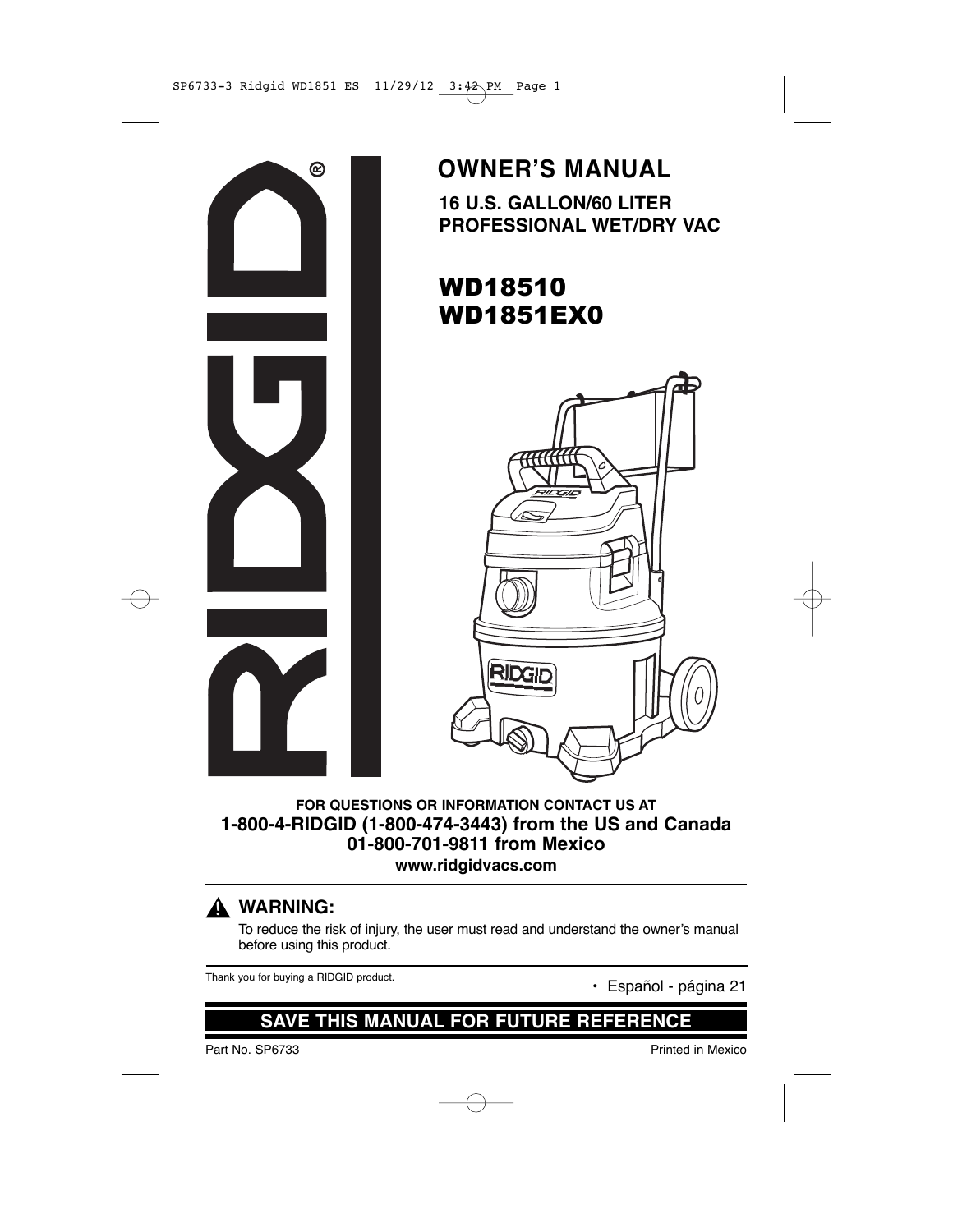

### **16 U.S. GALLON/60 LITER PROFESSIONAL WET/DRY VAC OWNER'S MANUAL**

# WD18510 WD1851EX0



**FOR QUESTIONS OR INFORMATION CONTACT US AT 1-800-4-RIDGID (1-800-474-3443) from the US and Canada 01-800-701-9811 from Mexico www.ridgidvacs.com**

### **WARNING: !**

To reduce the risk of injury, the user must read and understand the owner's manual before using this product.

Thank you for buying a RIDGID product.<br>
• Español - página 21

### **SAVE THIS MANUAL FOR FUTURE REFERENCE**

Part No. SP6733 Printed in Mexico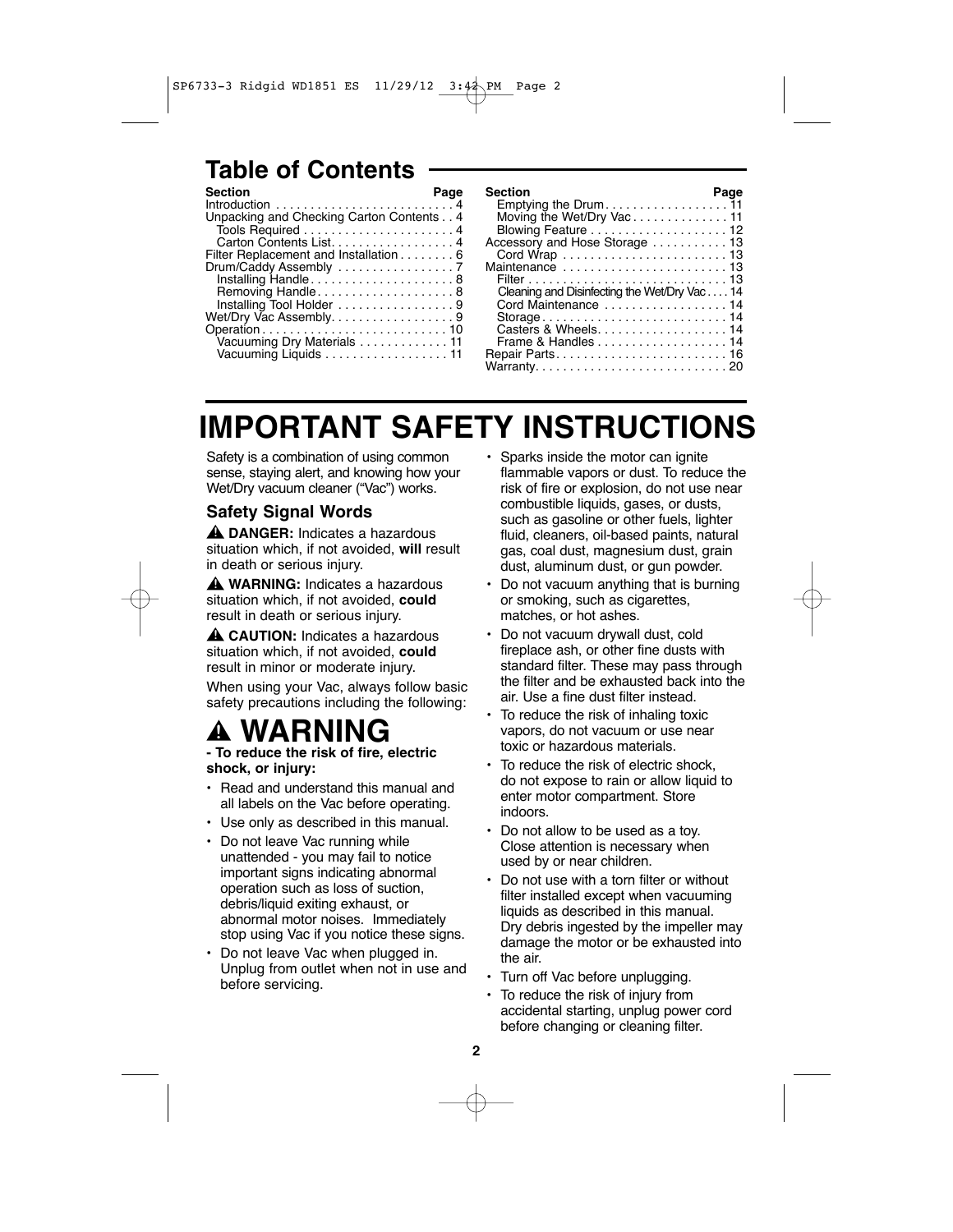### **Table of Contents**

| Page                                     |
|------------------------------------------|
|                                          |
| Unpacking and Checking Carton Contents 4 |
|                                          |
| Carton Contents List. 4                  |
| Filter Replacement and Installation 6    |
|                                          |
| Installing Handle8                       |
| Removing Handle8                         |
| Installing Tool Holder 9                 |
| Wet/Dry Vac Assembly. 9                  |
|                                          |
| Vacuuming Dry Materials 11               |
| Vacuuming Liquids 11                     |
|                                          |

# **IMPORTANT SAFETY INSTRUCTIONS**

Safety is a combination of using common sense, staying alert, and knowing how your Wet/Dry vacuum cleaner ("Vac") works.

### **Safety Signal Words**

**DANGER:** Indicates a hazardous **!** situation which, if not avoided, **will** result in death or serious injury.

**WARNING:** Indicates a hazardous **!** situation which, if not avoided, **could** result in death or serious injury.

**CAUTION:** Indicates a hazardous **!** situation which, if not avoided, **could** result in minor or moderate injury.

When using your Vac, always follow basic safety precautions including the following:

#### **WARNI !**

**- To reduce the risk of fire, electric shock, or injury:**

- Read and understand this manual and all labels on the Vac before operating.
- Use only as described in this manual.
- Do not leave Vac running while unattended - you may fail to notice important signs indicating abnormal operation such as loss of suction, debris/liquid exiting exhaust, or abnormal motor noises. Immediately stop using Vac if you notice these signs.
- Do not leave Vac when plugged in. Unplug from outlet when not in use and before servicing.
- Sparks inside the motor can ignite flammable vapors or dust. To reduce the risk of fire or explosion, do not use near combustible liquids, gases, or dusts, such as gasoline or other fuels, lighter fluid, cleaners, oil-based paints, natural gas, coal dust, magnesium dust, grain dust, aluminum dust, or gun powder.
- Do not vacuum anything that is burning or smoking, such as cigarettes, matches, or hot ashes.
- Do not vacuum drywall dust, cold fireplace ash, or other fine dusts with standard filter. These may pass through the filter and be exhausted back into the air. Use a fine dust filter instead.
- To reduce the risk of inhaling toxic vapors, do not vacuum or use near toxic or hazardous materials.
- To reduce the risk of electric shock. do not expose to rain or allow liquid to enter motor compartment. Store indoors.
- Do not allow to be used as a toy. Close attention is necessary when used by or near children.
- Do not use with a torn filter or without filter installed except when vacuuming liquids as described in this manual. Dry debris ingested by the impeller may damage the motor or be exhausted into the air.
- Turn off Vac before unplugging.
- To reduce the risk of injury from accidental starting, unplug power cord before changing or cleaning filter.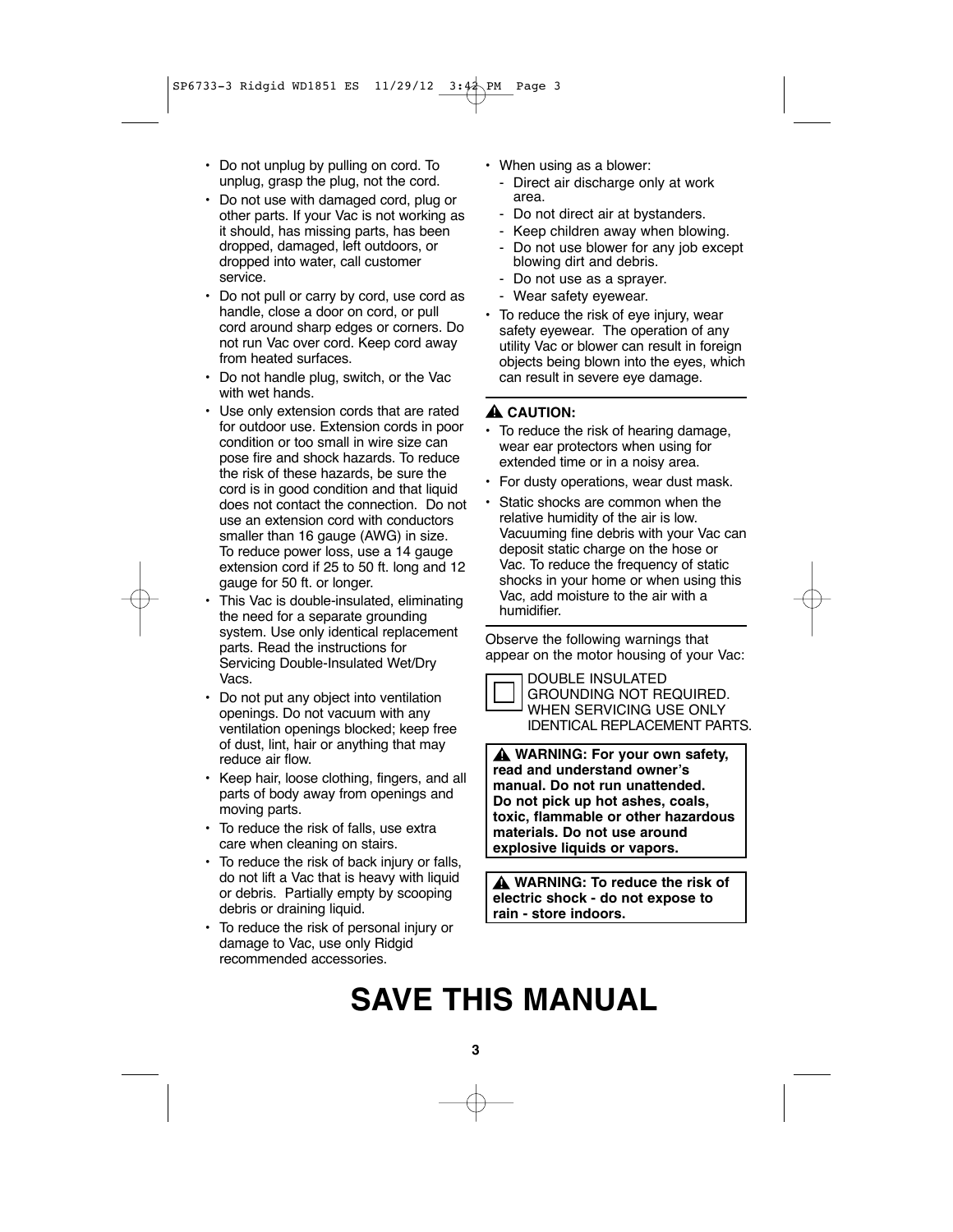- Do not unplug by pulling on cord. To unplug, grasp the plug, not the cord.
- Do not use with damaged cord, plug or other parts. If your Vac is not working as it should, has missing parts, has been dropped, damaged, left outdoors, or dropped into water, call customer service.
- Do not pull or carry by cord, use cord as handle, close a door on cord, or pull cord around sharp edges or corners. Do not run Vac over cord. Keep cord away from heated surfaces.
- Do not handle plug, switch, or the Vac with wet hands.
- Use only extension cords that are rated for outdoor use. Extension cords in poor condition or too small in wire size can pose fire and shock hazards. To reduce the risk of these hazards, be sure the cord is in good condition and that liquid does not contact the connection. Do not use an extension cord with conductors smaller than 16 gauge (AWG) in size. To reduce power loss, use a 14 gauge extension cord if 25 to 50 ft. long and 12 gauge for 50 ft. or longer.
- This Vac is double-insulated, eliminating the need for a separate grounding system. Use only identical replacement parts. Read the instructions for Servicing Double-Insulated Wet/Dry Vacs.
- Do not put any object into ventilation openings. Do not vacuum with any ventilation openings blocked; keep free of dust, lint, hair or anything that may reduce air flow.
- Keep hair, loose clothing, fingers, and all parts of body away from openings and moving parts.
- To reduce the risk of falls, use extra care when cleaning on stairs.
- To reduce the risk of back injury or falls, do not lift a Vac that is heavy with liquid or debris. Partially empty by scooping debris or draining liquid.
- To reduce the risk of personal injury or damage to Vac, use only Ridgid recommended accessories.
- When using as a blower:
	- Direct air discharge only at work area.
	- Do not direct air at bystanders.
	- Keep children away when blowing.
	- Do not use blower for any job except blowing dirt and debris.
	- Do not use as a sprayer.
	- Wear safety eyewear.
- To reduce the risk of eye injury, wear safety eyewear. The operation of any utility Vac or blower can result in foreign objects being blown into the eyes, which can result in severe eye damage.

### **CAUTION: !**

- To reduce the risk of hearing damage, wear ear protectors when using for extended time or in a noisy area.
- For dusty operations, wear dust mask.
- Static shocks are common when the relative humidity of the air is low. Vacuuming fine debris with your Vac can deposit static charge on the hose or Vac. To reduce the frequency of static shocks in your home or when using this Vac, add moisture to the air with a humidifier.

Observe the following warnings that appear on the motor housing of your Vac:



GROUNDING NOT REQUIRED. WHEN SERVICING USE ONLY IDENTICAL REPLACEMENT PARTS.

**WARNING: For your own safety, ! read and understand owner's manual. Do not run unattended. Do not pick up hot ashes, coals, toxic, flammable or other hazardous materials. Do not use around explosive liquids or vapors.**

**WARNING: To reduce the risk of ! electric shock - do not expose to rain - store indoors.**

# **SAVE THIS MANUAL**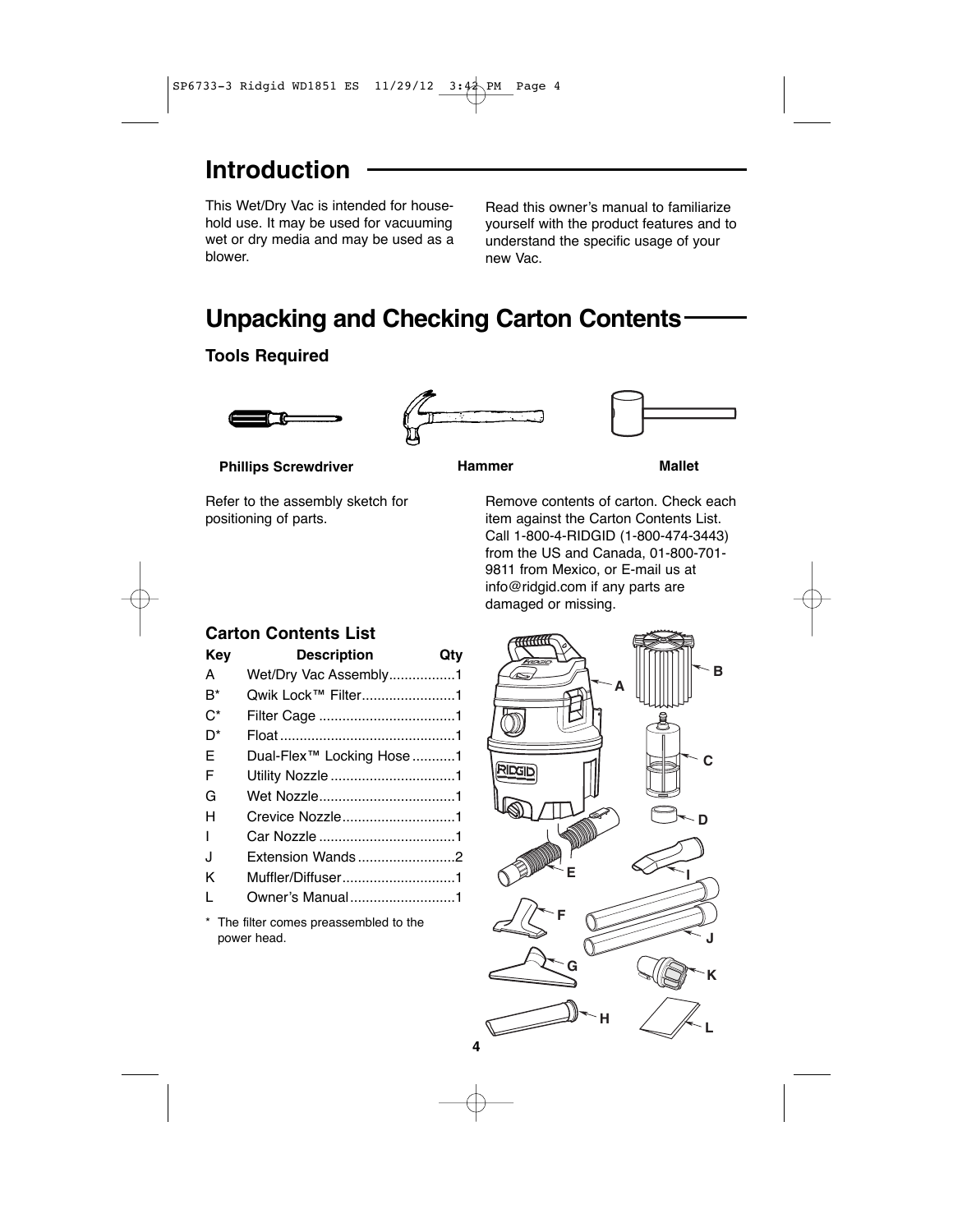### **Introduction**

This Wet/Dry Vac is intended for household use. It may be used for vacuuming wet or dry media and may be used as a blower.

Read this owner's manual to familiarize yourself with the product features and to understand the specific usage of your new Vac.

# **Unpacking and Checking Carton Contents**

### **Tools Required**







**Phillips Screwdriver**

Refer to the assembly sketch for positioning of parts.



Remove contents of carton. Check each item against the Carton Contents List. Call 1-800-4-RIDGID (1-800-474-3443) from the US and Canada, 01-800-701- 9811 from Mexico, or E-mail us at info@ridgid.com if any parts are damaged or missing.

### **Carton Contents List**

| Key          | <b>Description</b>        | Qty |
|--------------|---------------------------|-----|
| A            | Wet/Dry Vac Assembly1     |     |
| $B^*$        | Qwik Lock™ Filter1        |     |
| $C^*$        |                           |     |
| $\Gamma^*$   |                           |     |
| F            | Dual-Flex™ Locking Hose 1 |     |
| F            |                           |     |
| G            |                           |     |
| н            | Crevice Nozzle1           |     |
| L            |                           |     |
| J            | Extension Wands2          |     |
| K            | Muffler/Diffuser1         |     |
| $\mathbf{I}$ | Owner's Manual1           |     |

\* The filter comes preassembled to the power head.

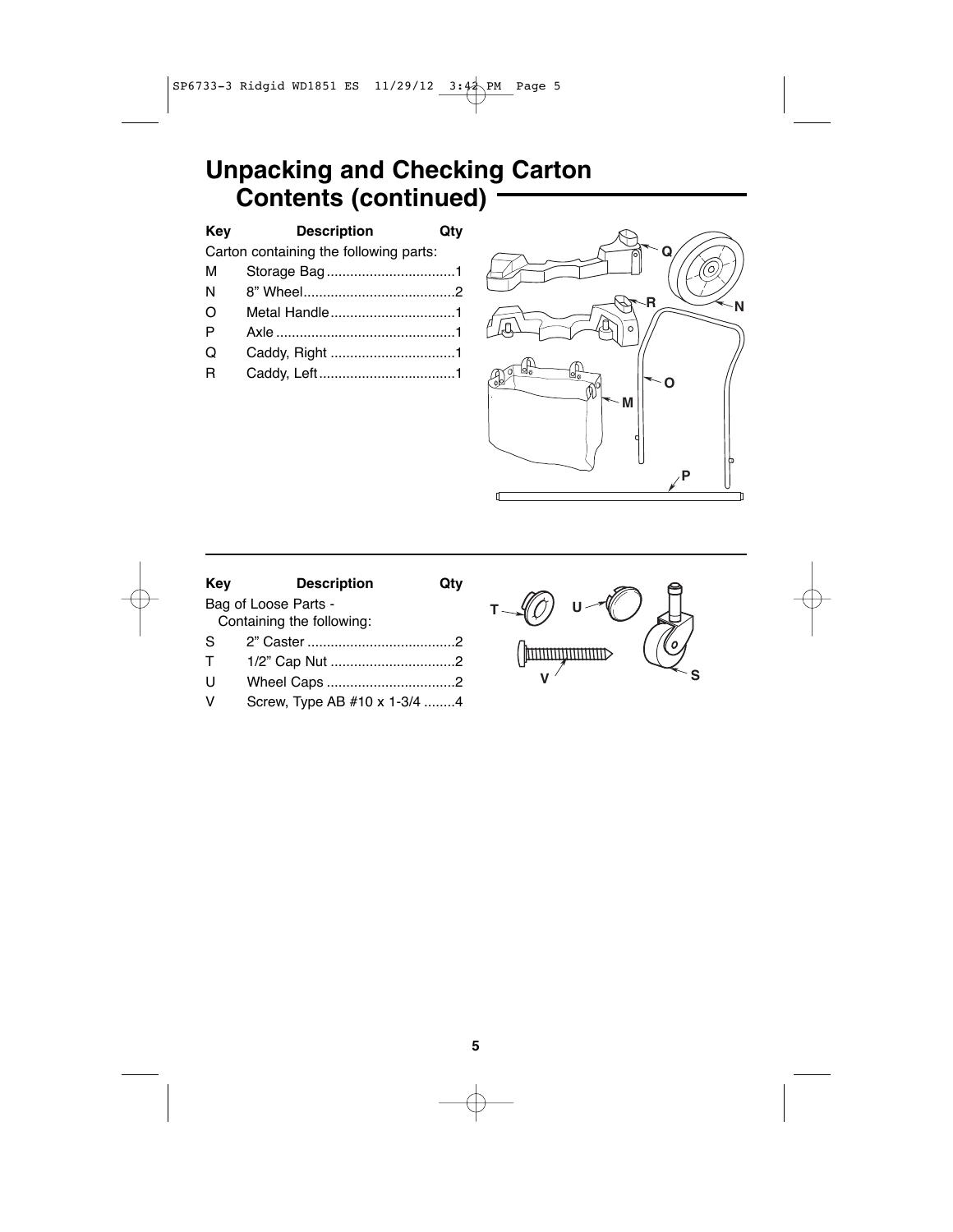# **Unpacking and Checking Carton Contents (continued)**

| Key                                    | <b>Description</b> |  |  |
|----------------------------------------|--------------------|--|--|
| Carton containing the following parts: |                    |  |  |
| м                                      |                    |  |  |
| N                                      |                    |  |  |
| ∩                                      | Metal Handle1      |  |  |
| P                                      |                    |  |  |
| O                                      |                    |  |  |
| R                                      |                    |  |  |
|                                        |                    |  |  |



| Key | <b>Description</b>           |  |  |
|-----|------------------------------|--|--|
|     | Bag of Loose Parts -         |  |  |
|     | Containing the following:    |  |  |
| S.  |                              |  |  |
| т   |                              |  |  |
| U   | Wheel Caps 2                 |  |  |
| v   | Screw, Type AB #10 x 1-3/4 4 |  |  |
|     |                              |  |  |

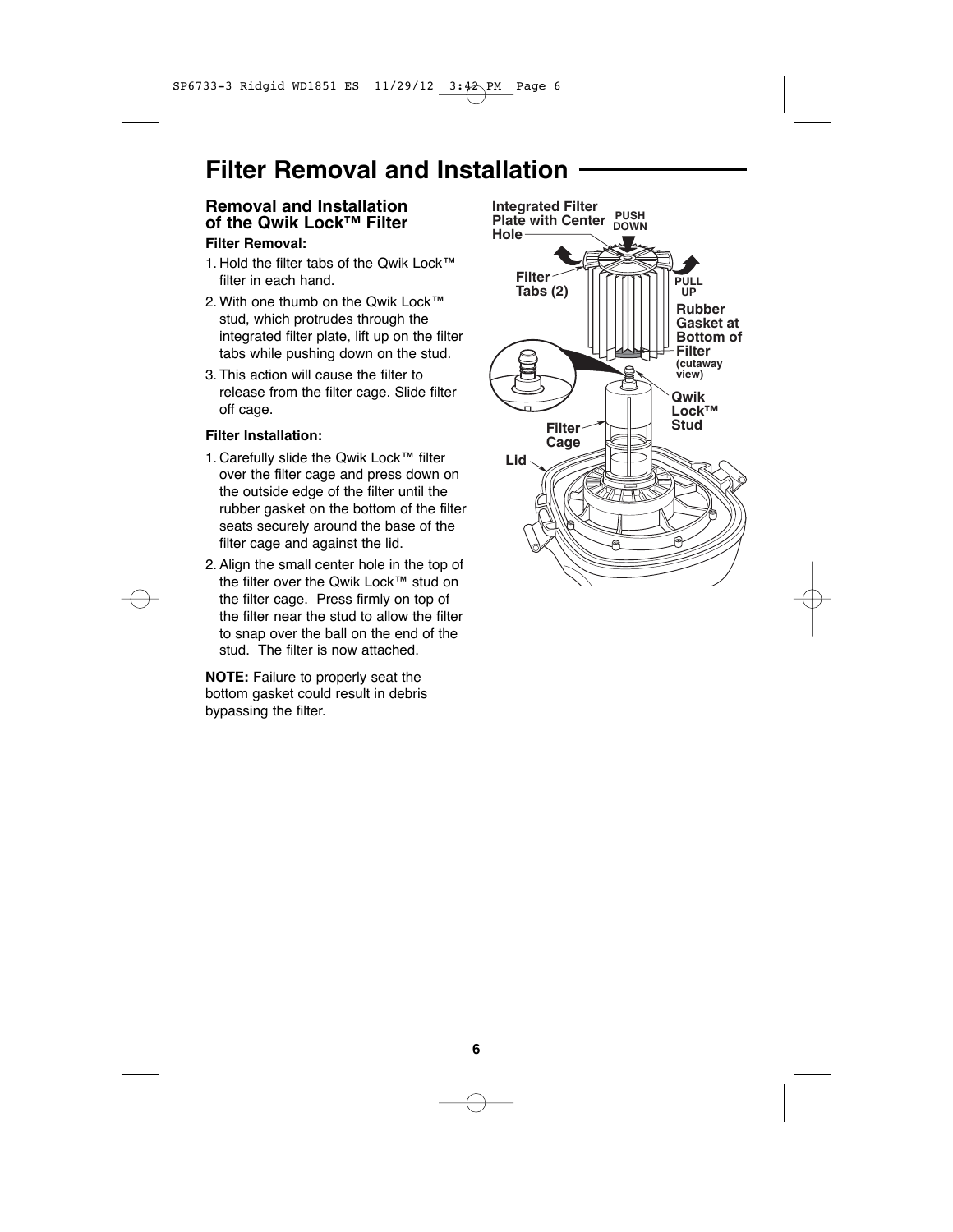### **Filter Removal and Installation**

### **Removal and Installation of the Qwik Lock™ Filter**

### **Filter Removal:**

- 1. Hold the filter tabs of the Qwik Lock™ filter in each hand.
- 2. With one thumb on the Qwik Lock™ stud, which protrudes through the integrated filter plate, lift up on the filter tabs while pushing down on the stud.
- 3. This action will cause the filter to release from the filter cage. Slide filter off cage.

### **Filter Installation:**

- 1. Carefully slide the Qwik Lock™ filter over the filter cage and press down on the outside edge of the filter until the rubber gasket on the bottom of the filter seats securely around the base of the filter cage and against the lid.
- 2. Align the small center hole in the top of the filter over the Qwik Lock™ stud on the filter cage. Press firmly on top of the filter near the stud to allow the filter to snap over the ball on the end of the stud. The filter is now attached.

**NOTE:** Failure to properly seat the bottom gasket could result in debris bypassing the filter.

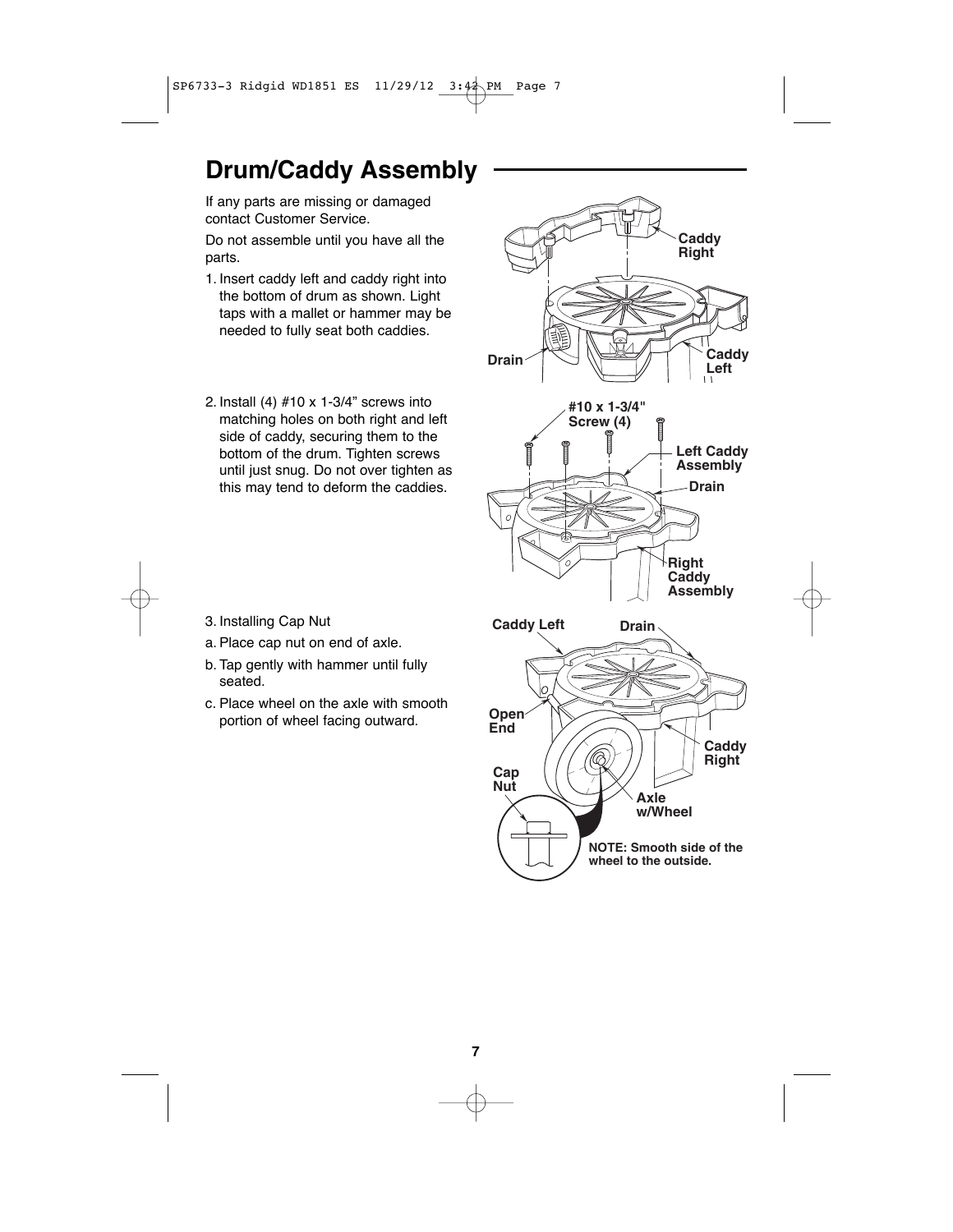# **Drum/Caddy Assembly**

If any parts are missing or damaged contact Customer Service.

Do not assemble until you have all the parts.

- 1. Insert caddy left and caddy right into the bottom of drum as shown. Light taps with a mallet or hammer may be needed to fully seat both caddies.
- 2. Install (4) #10 x 1-3/4" screws into matching holes on both right and left side of caddy, securing them to the bottom of the drum. Tighten screws until just snug. Do not over tighten as this may tend to deform the caddies.



- 3. Installing Cap Nut
- a. Place cap nut on end of axle.
- b. Tap gently with hammer until fully seated.
- c. Place wheel on the axle with smooth portion of wheel facing outward.

**7**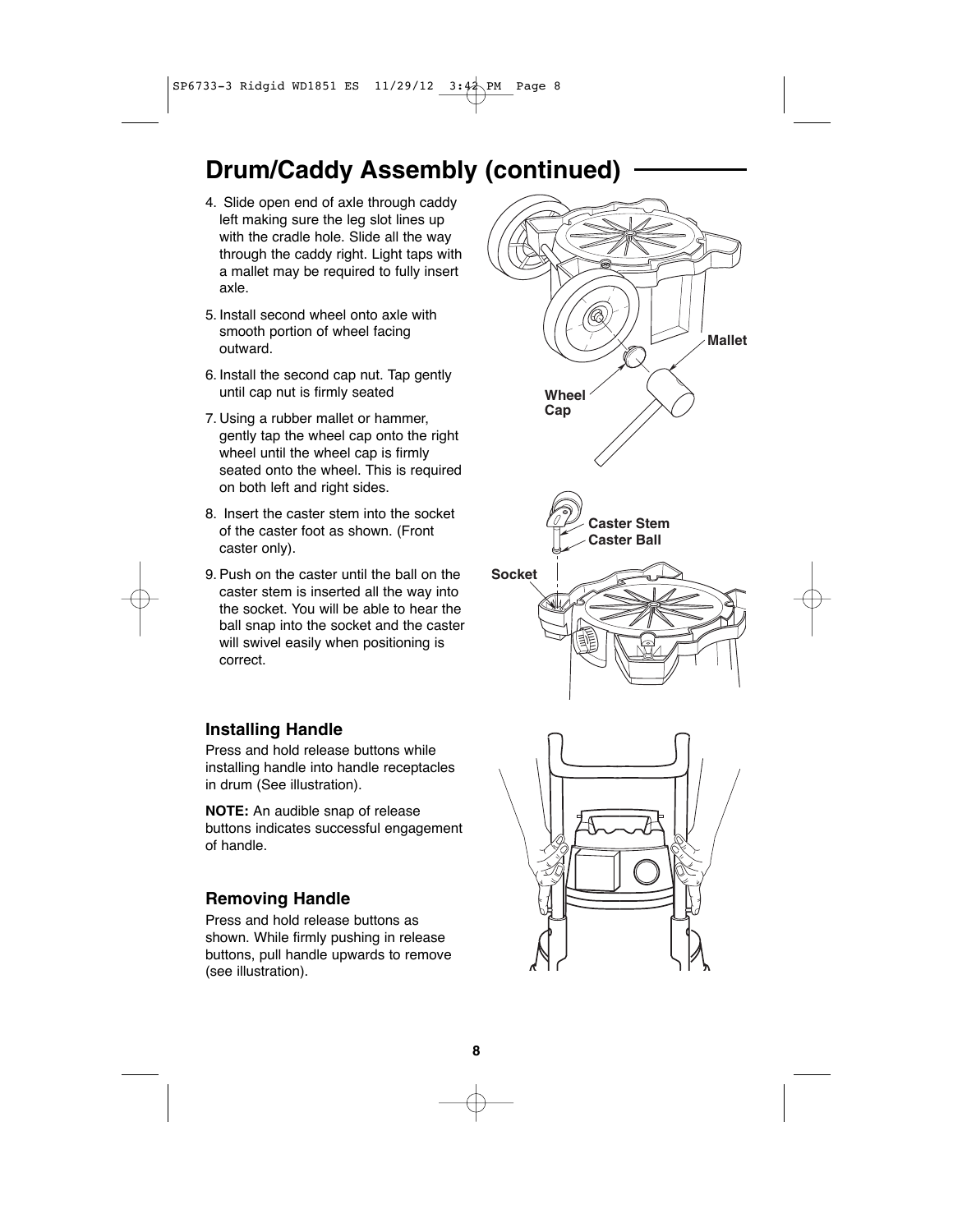# **Drum/Caddy Assembly (continued)**

- 4. Slide open end of axle through caddy left making sure the leg slot lines up with the cradle hole. Slide all the way through the caddy right. Light taps with a mallet may be required to fully insert axle.
- 5. Install second wheel onto axle with smooth portion of wheel facing outward.
- 6. Install the second cap nut. Tap gently until cap nut is firmly seated
- 7. Using a rubber mallet or hammer, gently tap the wheel cap onto the right wheel until the wheel cap is firmly seated onto the wheel. This is required on both left and right sides.
- 8. Insert the caster stem into the socket of the caster foot as shown. (Front caster only).
- 9. Push on the caster until the ball on the caster stem is inserted all the way into the socket. You will be able to hear the ball snap into the socket and the caster will swivel easily when positioning is correct.

### **Installing Handle**

Press and hold release buttons while installing handle into handle receptacles in drum (See illustration).

**NOTE:** An audible snap of release buttons indicates successful engagement of handle.

### **Removing Handle**

Press and hold release buttons as shown. While firmly pushing in release buttons, pull handle upwards to remove (see illustration).

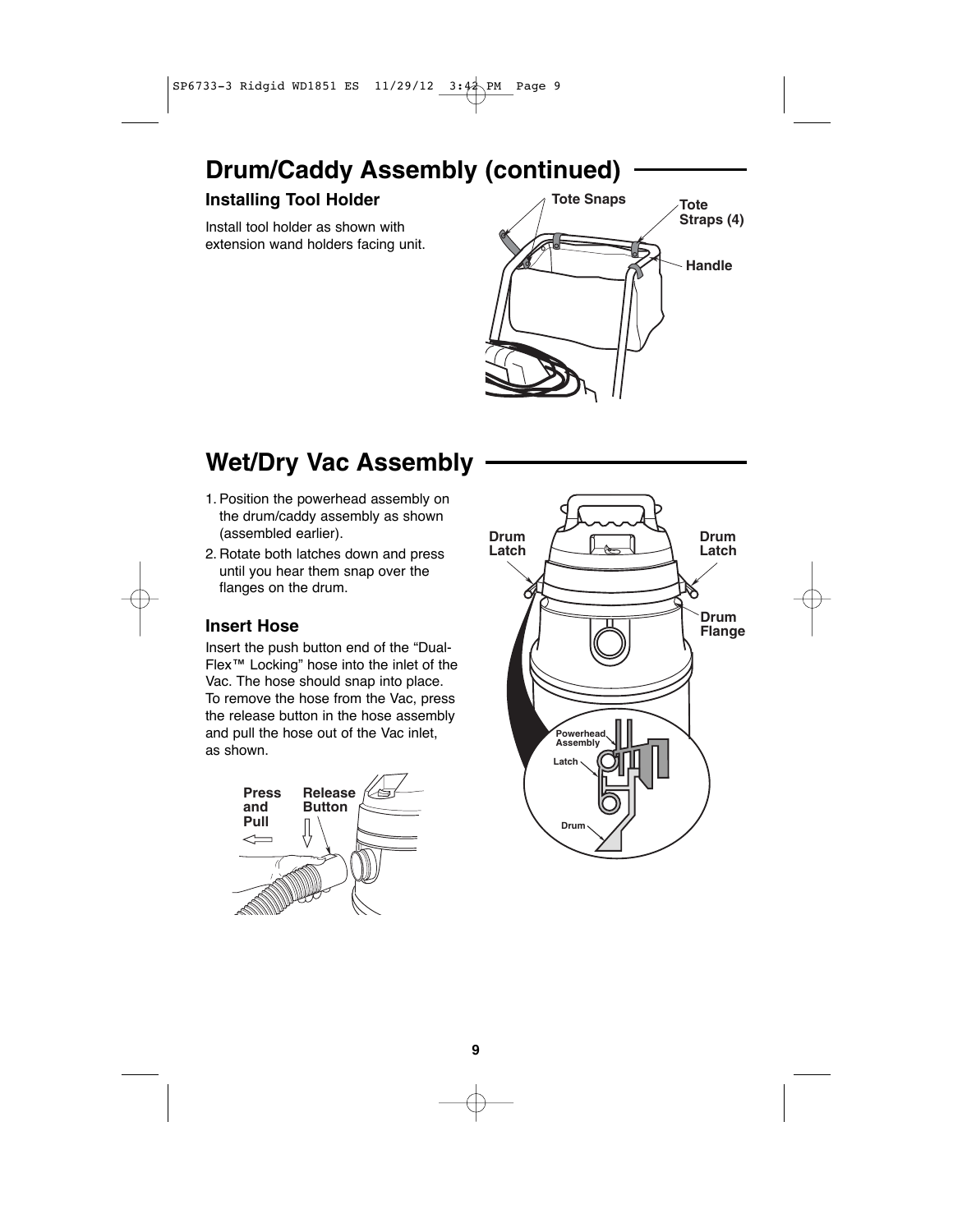# **Drum/Caddy Assembly (continued)**

### **Installing Tool Holder**

Install tool holder as shown with extension wand holders facing unit.



# **Wet/Dry Vac Assembly**

- 1. Position the powerhead assembly on the drum/caddy assembly as shown (assembled earlier).
- 2. Rotate both latches down and press until you hear them snap over the flanges on the drum.

### **Insert Hose**

Insert the push button end of the "Dual-Flex™ Locking" hose into the inlet of the Vac. The hose should snap into place. To remove the hose from the Vac, press the release button in the hose assembly and pull the hose out of the Vac inlet, as shown.



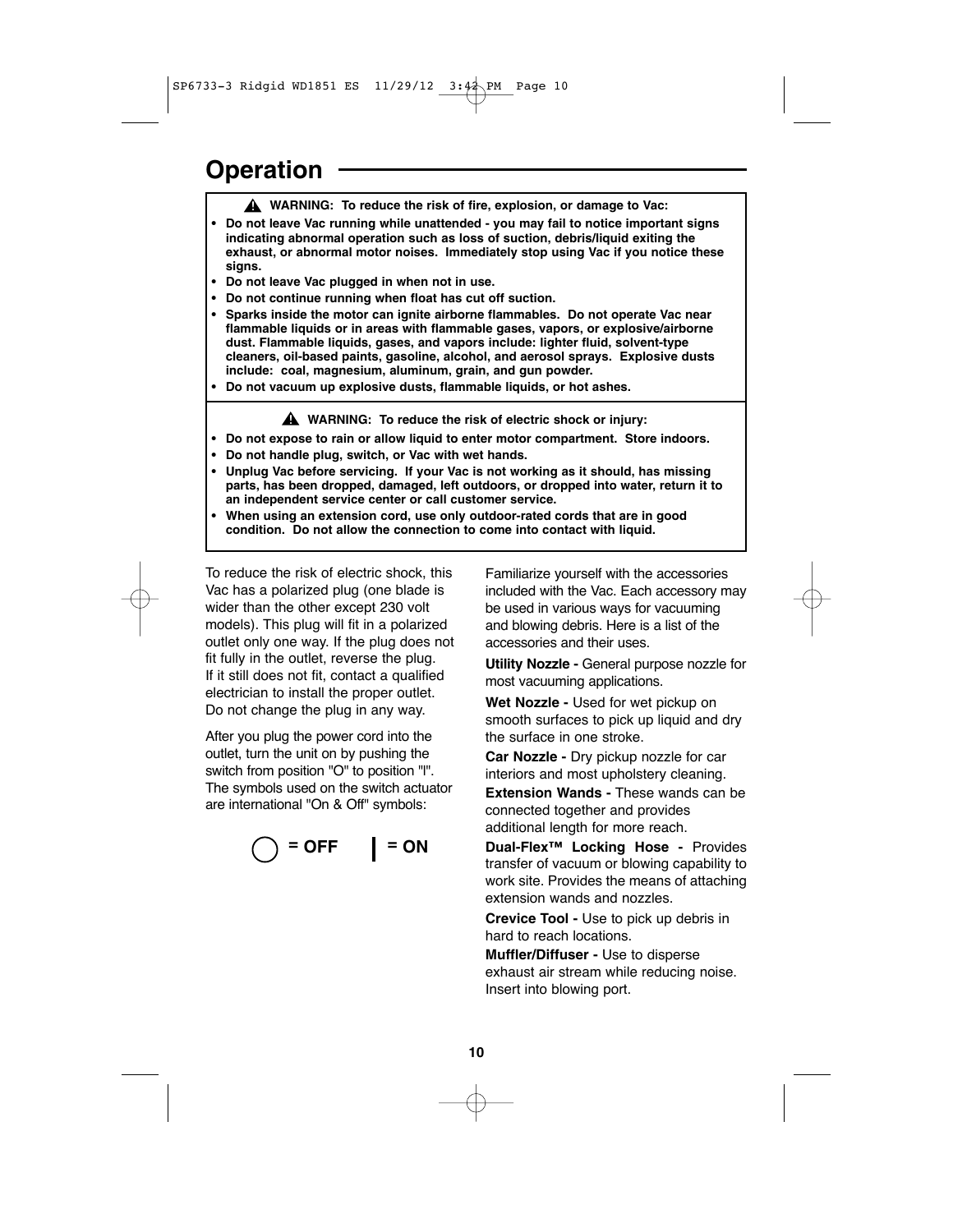### **Operation**

- **WARNING: To reduce the risk of fire, explosion, or damage to Vac: !**
- **Do not leave Vac running while unattended you may fail to notice important signs indicating abnormal operation such as loss of suction, debris/liquid exiting the exhaust, or abnormal motor noises. Immediately stop using Vac if you notice these signs.**
- **Do not leave Vac plugged in when not in use.**
- **Do not continue running when float has cut off suction.**
- **Sparks inside the motor can ignite airborne flammables. Do not operate Vac near flammable liquids or in areas with flammable gases, vapors, or explosive/airborne dust. Flammable liquids, gases, and vapors include: lighter fluid, solvent-type cleaners, oil-based paints, gasoline, alcohol, and aerosol sprays. Explosive dusts include: coal, magnesium, aluminum, grain, and gun powder.**
- **Do not vacuum up explosive dusts, flammable liquids, or hot ashes.**

**WARNING: To reduce the risk of electric shock or injury: !**

- **Do not expose to rain or allow liquid to enter motor compartment. Store indoors.**
- **Do not handle plug, switch, or Vac with wet hands.**
- **Unplug Vac before servicing. If your Vac is not working as it should, has missing parts, has been dropped, damaged, left outdoors, or dropped into water, return it to an independent service center or call customer service.**
- **When using an extension cord, use only outdoor-rated cords that are in good condition. Do not allow the connection to come into contact with liquid.**

To reduce the risk of electric shock, this Vac has a polarized plug (one blade is wider than the other except 230 volt models). This plug will fit in a polarized outlet only one way. If the plug does not fit fully in the outlet, reverse the plug. If it still does not fit, contact a qualified electrician to install the proper outlet. Do not change the plug in any way.

After you plug the power cord into the outlet, turn the unit on by pushing the switch from position "O" to position "l". The symbols used on the switch actuator are international "On & Off" symbols:

$$
\bigcirc = \mathsf{OFF} \qquad \qquad \mathsf{I} = \mathsf{ON}
$$

Familiarize yourself with the accessories included with the Vac. Each accessory may be used in various ways for vacuuming and blowing debris. Here is a list of the accessories and their uses.

**Utility Nozzle -** General purpose nozzle for most vacuuming applications.

**Wet Nozzle -** Used for wet pickup on smooth surfaces to pick up liquid and dry the surface in one stroke.

**Car Nozzle -** Dry pickup nozzle for car interiors and most upholstery cleaning.

**Extension Wands -** These wands can be connected together and provides additional length for more reach.

**Dual-Flex™ Locking Hose -** Provides transfer of vacuum or blowing capability to work site. Provides the means of attaching extension wands and nozzles.

**Crevice Tool -** Use to pick up debris in hard to reach locations.

**Muffler/Diffuser -** Use to disperse exhaust air stream while reducing noise. Insert into blowing port.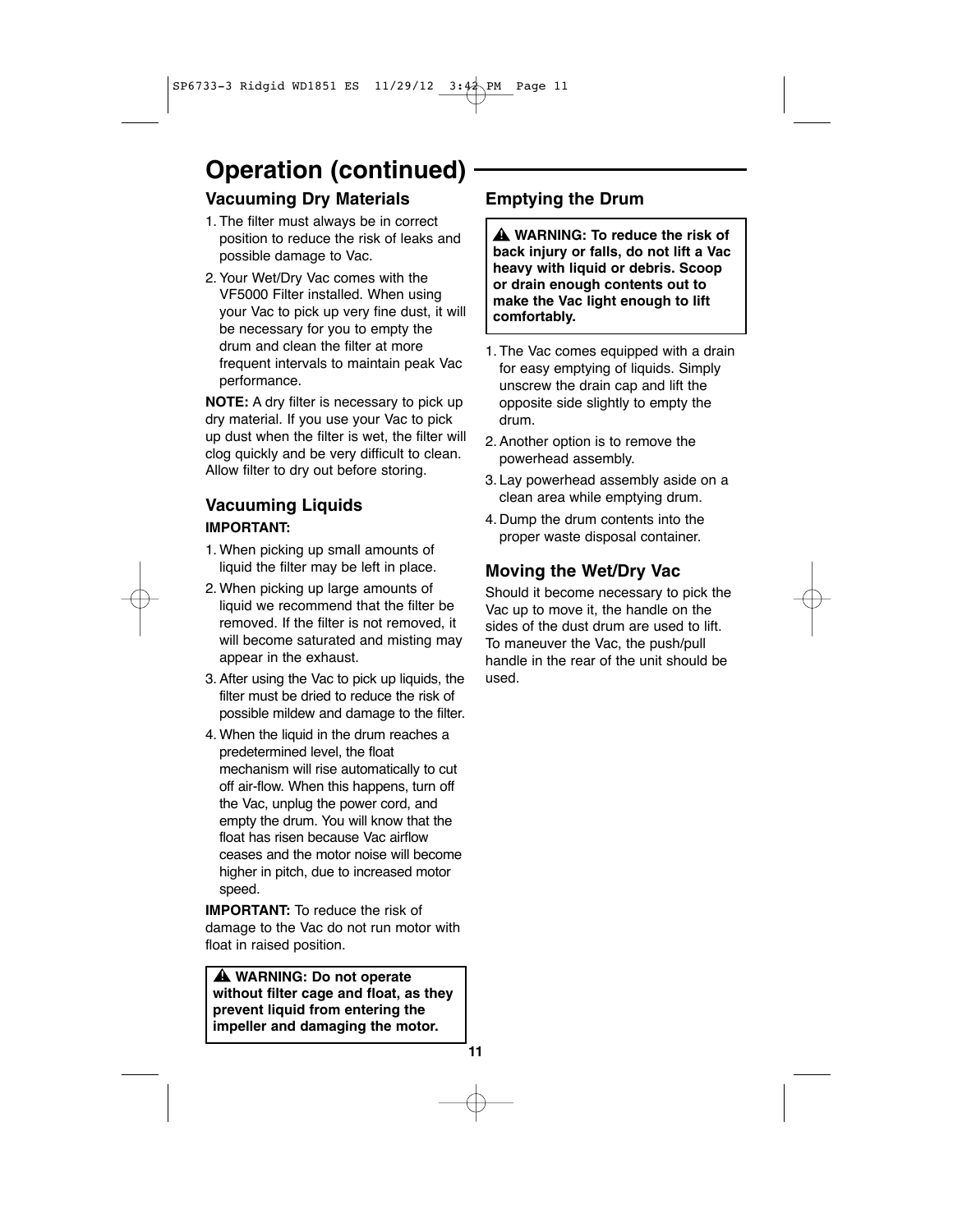# **Operation (continued)**

### **Vacuuming Dry Materials**

- 1. The filter must always be in correct position to reduce the risk of leaks and possible damage to Vac.
- 2. Your Wet/Dry Vac comes with the VF5000 Filter installed. When using your Vac to pick up very fine dust, it will be necessary for you to empty the drum and clean the filter at more frequent intervals to maintain peak Vac performance.

**NOTE:** A dry filter is necessary to pick up dry material. If you use your Vac to pick up dust when the filter is wet, the filter will clog quickly and be very difficult to clean. Allow filter to dry out before storing.

### **Vacuuming Liquids IMPORTANT:**

- 1. When picking up small amounts of liquid the filter may be left in place.
- 2. When picking up large amounts of liquid we recommend that the filter be removed. If the filter is not removed, it will become saturated and misting may appear in the exhaust.
- 3. After using the Vac to pick up liquids, the filter must be dried to reduce the risk of possible mildew and damage to the filter.
- 4. When the liquid in the drum reaches a predetermined level, the float mechanism will rise automatically to cut off air-flow. When this happens, turn off the Vac, unplug the power cord, and empty the drum. You will know that the float has risen because Vac airflow ceases and the motor noise will become higher in pitch, due to increased motor speed.

**IMPORTANT:** To reduce the risk of damage to the Vac do not run motor with float in raised position.

**WARNING: Do not operate ! without filter cage and float, as they prevent liquid from entering the impeller and damaging the motor.**

**11**

### **Emptying the Drum**

**WARNING: To reduce the risk of ! back injury or falls, do not lift a Vac heavy with liquid or debris. Scoop or drain enough contents out to make the Vac light enough to lift comfortably.**

- 1. The Vac comes equipped with a drain for easy emptying of liquids. Simply unscrew the drain cap and lift the opposite side slightly to empty the drum.
- 2. Another option is to remove the powerhead assembly.
- 3. Lay powerhead assembly aside on a clean area while emptying drum.
- 4. Dump the drum contents into the proper waste disposal container.

### **Moving the Wet/Dry Vac**

Should it become necessary to pick the Vac up to move it, the handle on the sides of the dust drum are used to lift. To maneuver the Vac, the push/pull handle in the rear of the unit should be used.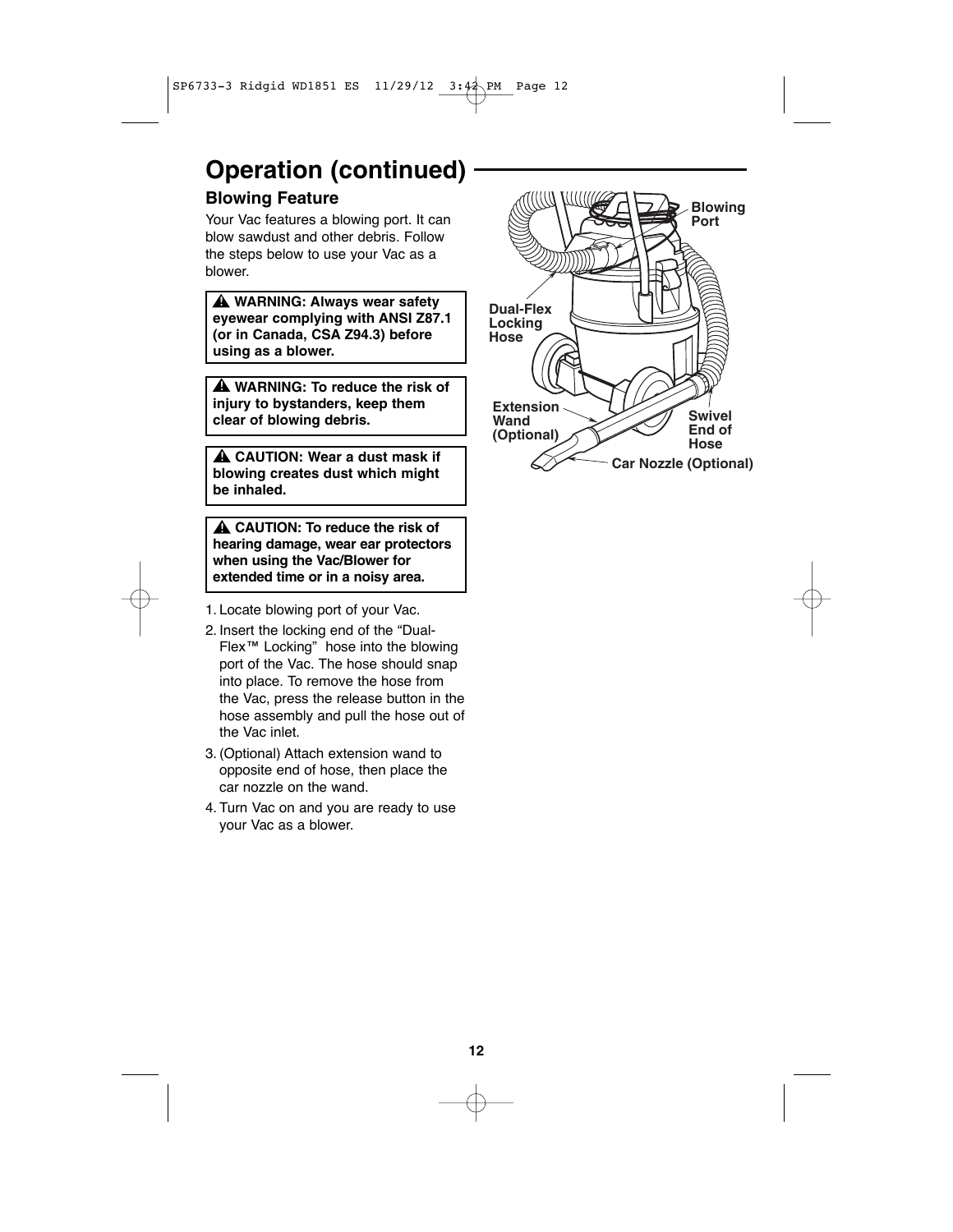# **Operation (continued)**

### **Blowing Feature**

Your Vac features a blowing port. It can blow sawdust and other debris. Follow the steps below to use your Vac as a blower.

**WARNING: Always wear safety ! eyewear complying with ANSI Z87.1 (or in Canada, CSA Z94.3) before using as a blower.**

**WARNING: To reduce the risk of ! injury to bystanders, keep them clear of blowing debris.**

**CAUTION: Wear a dust mask if ! blowing creates dust which might be inhaled.**

**CAUTION: To reduce the risk of ! hearing damage, wear ear protectors when using the Vac/Blower for extended time or in a noisy area.**

- 1. Locate blowing port of your Vac.
- 2. Insert the locking end of the "Dual-Flex™ Locking" hose into the blowing port of the Vac. The hose should snap into place. To remove the hose from the Vac, press the release button in the hose assembly and pull the hose out of the Vac inlet.
- 3. (Optional) Attach extension wand to opposite end of hose, then place the car nozzle on the wand.
- 4. Turn Vac on and you are ready to use your Vac as a blower.

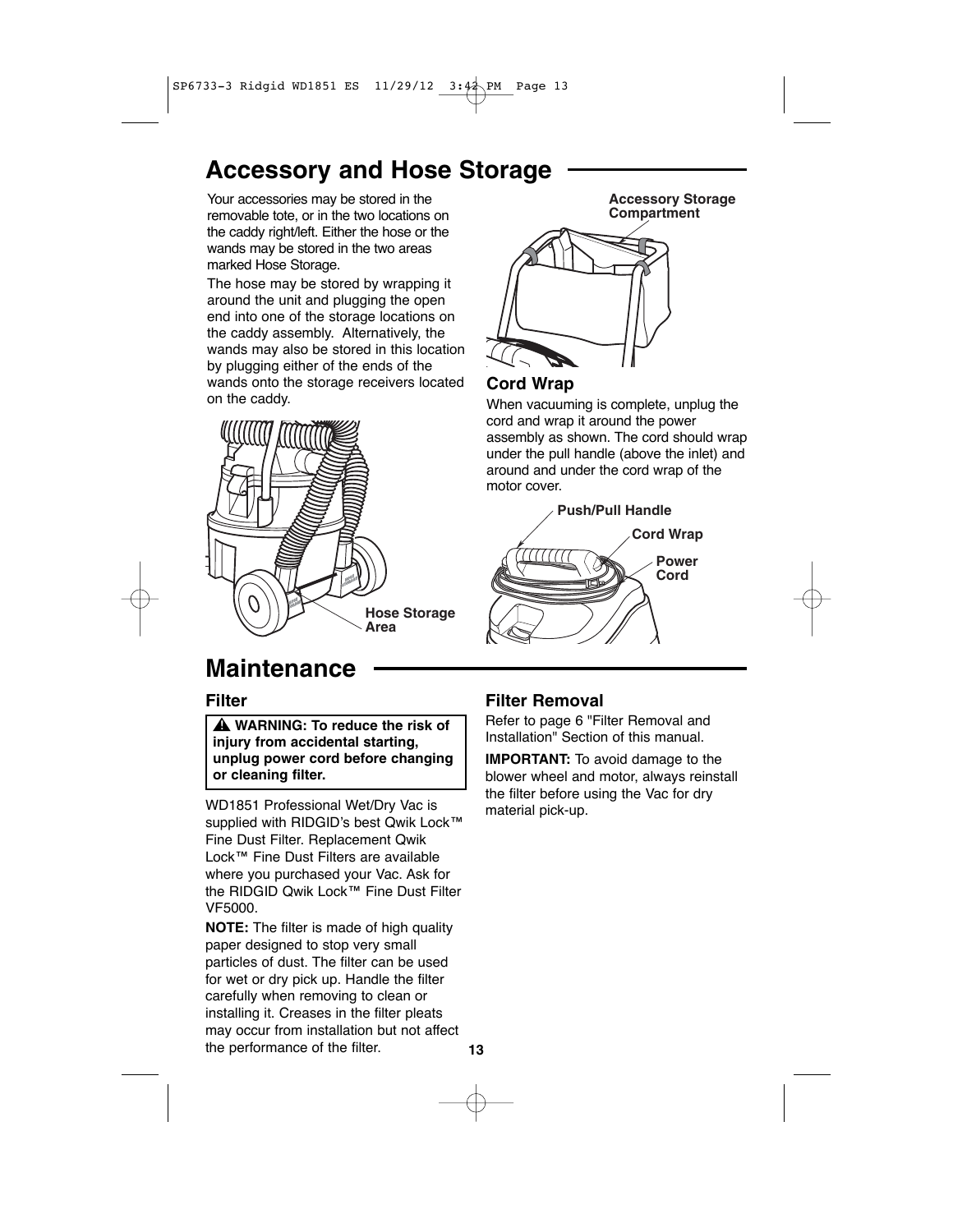# **Accessory and Hose Storage**

Your accessories may be stored in the removable tote, or in the two locations on the caddy right/left. Either the hose or the wands may be stored in the two areas marked Hose Storage.

The hose may be stored by wrapping it around the unit and plugging the open end into one of the storage locations on the caddy assembly. Alternatively, the wands may also be stored in this location by plugging either of the ends of the wands onto the storage receivers located on the caddy.



**Accessory Storage Compartment**

### **Cord Wrap**

When vacuuming is complete, unplug the cord and wrap it around the power assembly as shown. The cord should wrap under the pull handle (above the inlet) and around and under the cord wrap of the motor cover.



# **Maintenance**

### **Filter**

**WARNING: To reduce the risk of ! injury from accidental starting, unplug power cord before changing or cleaning filter.**

WD1851 Professional Wet/Dry Vac is supplied with RIDGID's best Qwik Lock™ Fine Dust Filter. Replacement Qwik Lock™ Fine Dust Filters are available where you purchased your Vac. Ask for the RIDGID Qwik Lock™ Fine Dust Filter VF5000.

**NOTE:** The filter is made of high quality paper designed to stop very small particles of dust. The filter can be used for wet or dry pick up. Handle the filter carefully when removing to clean or installing it. Creases in the filter pleats may occur from installation but not affect the performance of the filter.

### **Filter Removal**

Refer to page 6 "Filter Removal and Installation" Section of this manual.

**IMPORTANT:** To avoid damage to the blower wheel and motor, always reinstall the filter before using the Vac for dry material pick-up.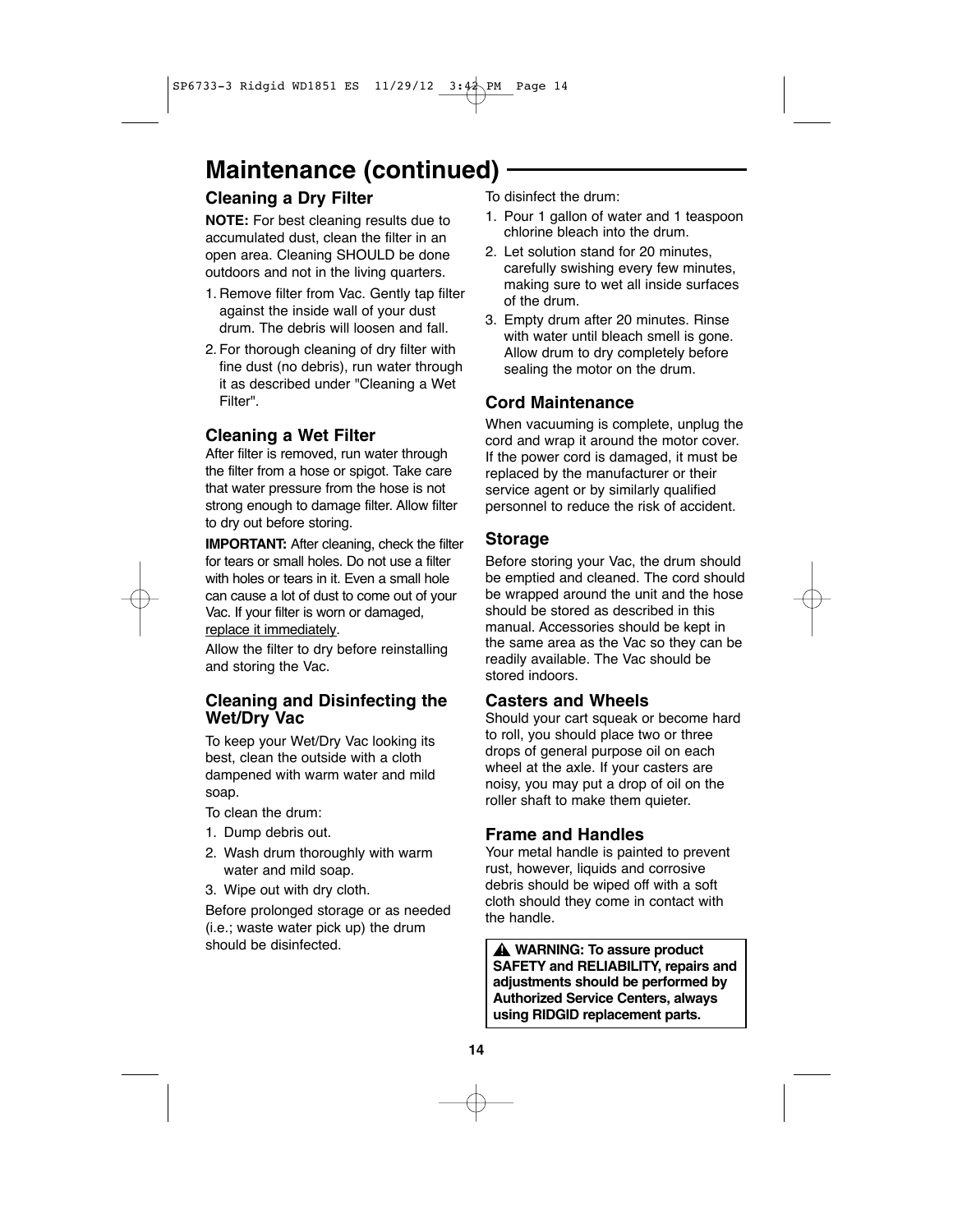# **Maintenance (continued)**

### **Cleaning a Dry Filter**

**NOTE:** For best cleaning results due to accumulated dust, clean the filter in an open area. Cleaning SHOULD be done outdoors and not in the living quarters.

- 1. Remove filter from Vac. Gently tap filter against the inside wall of your dust drum. The debris will loosen and fall.
- 2. For thorough cleaning of dry filter with fine dust (no debris), run water through it as described under "Cleaning a Wet Filter".

### **Cleaning a Wet Filter**

After filter is removed, run water through the filter from a hose or spigot. Take care that water pressure from the hose is not strong enough to damage filter. Allow filter to dry out before storing.

**IMPORTANT:** After cleaning, check the filter for tears or small holes. Do not use a filter with holes or tears in it. Even a small hole can cause a lot of dust to come out of your Vac. If your filter is worn or damaged, replace it immediately.

Allow the filter to dry before reinstalling and storing the Vac.

### **Cleaning and Disinfecting the Wet/Dry Vac**

To keep your Wet/Dry Vac looking its best, clean the outside with a cloth dampened with warm water and mild soap.

To clean the drum:

- 1. Dump debris out.
- 2. Wash drum thoroughly with warm water and mild soap.
- 3. Wipe out with dry cloth.

Before prolonged storage or as needed (i.e.; waste water pick up) the drum should be disinfected. **!**

To disinfect the drum:

- 1. Pour 1 gallon of water and 1 teaspoon chlorine bleach into the drum.
- 2. Let solution stand for 20 minutes, carefully swishing every few minutes, making sure to wet all inside surfaces of the drum.
- 3. Empty drum after 20 minutes. Rinse with water until bleach smell is gone. Allow drum to dry completely before sealing the motor on the drum.

### **Cord Maintenance**

When vacuuming is complete, unplug the cord and wrap it around the motor cover. If the power cord is damaged, it must be replaced by the manufacturer or their service agent or by similarly qualified personnel to reduce the risk of accident.

### **Storage**

Before storing your Vac, the drum should be emptied and cleaned. The cord should be wrapped around the unit and the hose should be stored as described in this manual. Accessories should be kept in the same area as the Vac so they can be readily available. The Vac should be stored indoors.

### **Casters and Wheels**

Should your cart squeak or become hard to roll, you should place two or three drops of general purpose oil on each wheel at the axle. If your casters are noisy, you may put a drop of oil on the roller shaft to make them quieter.

### **Frame and Handles**

Your metal handle is painted to prevent rust, however, liquids and corrosive debris should be wiped off with a soft cloth should they come in contact with the handle.

**A** WARNING: To assure product **SAFETY and RELIABILITY, repairs and adjustments should be performed by Authorized Service Centers, always using RIDGID replacement parts.**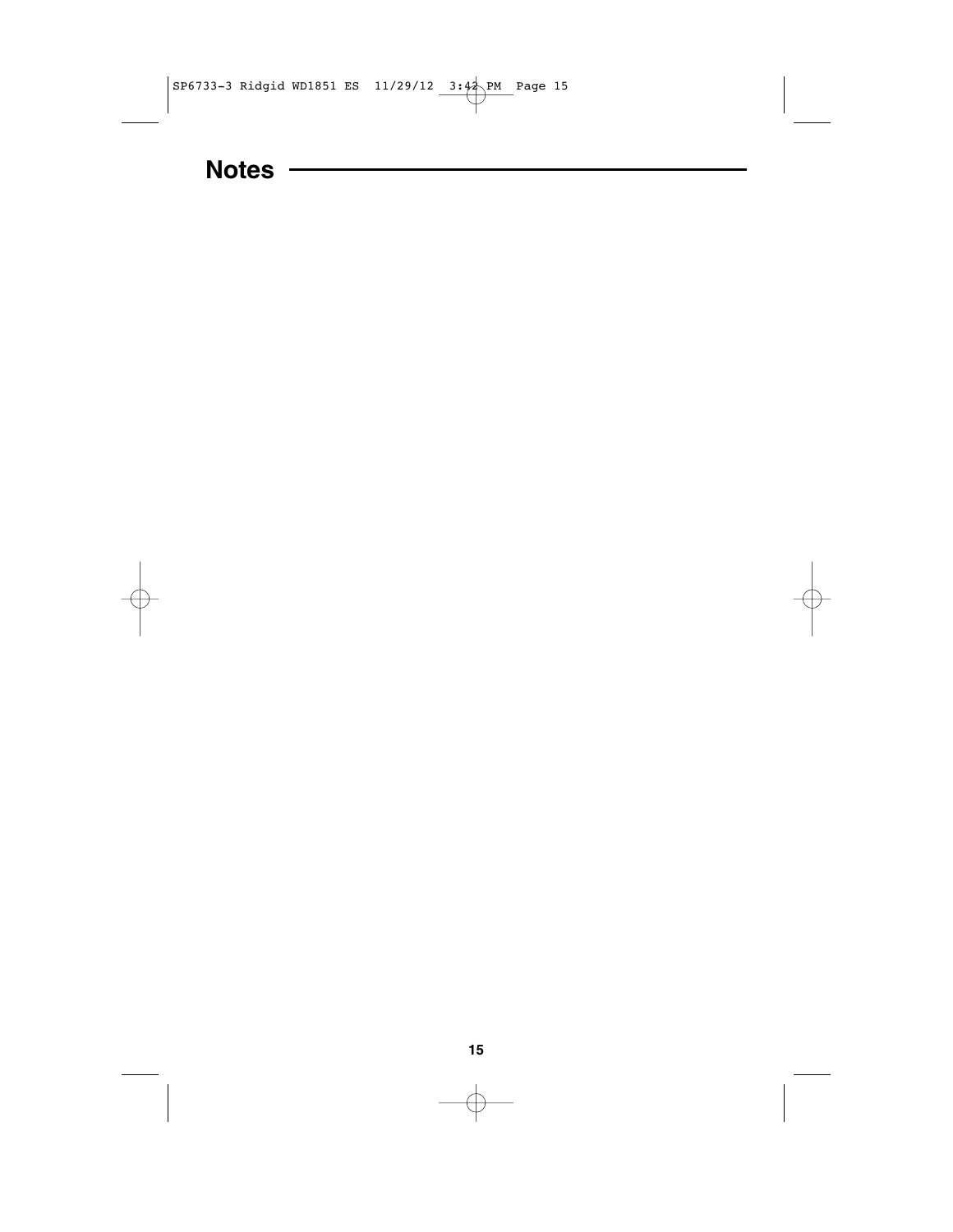

# **Notes**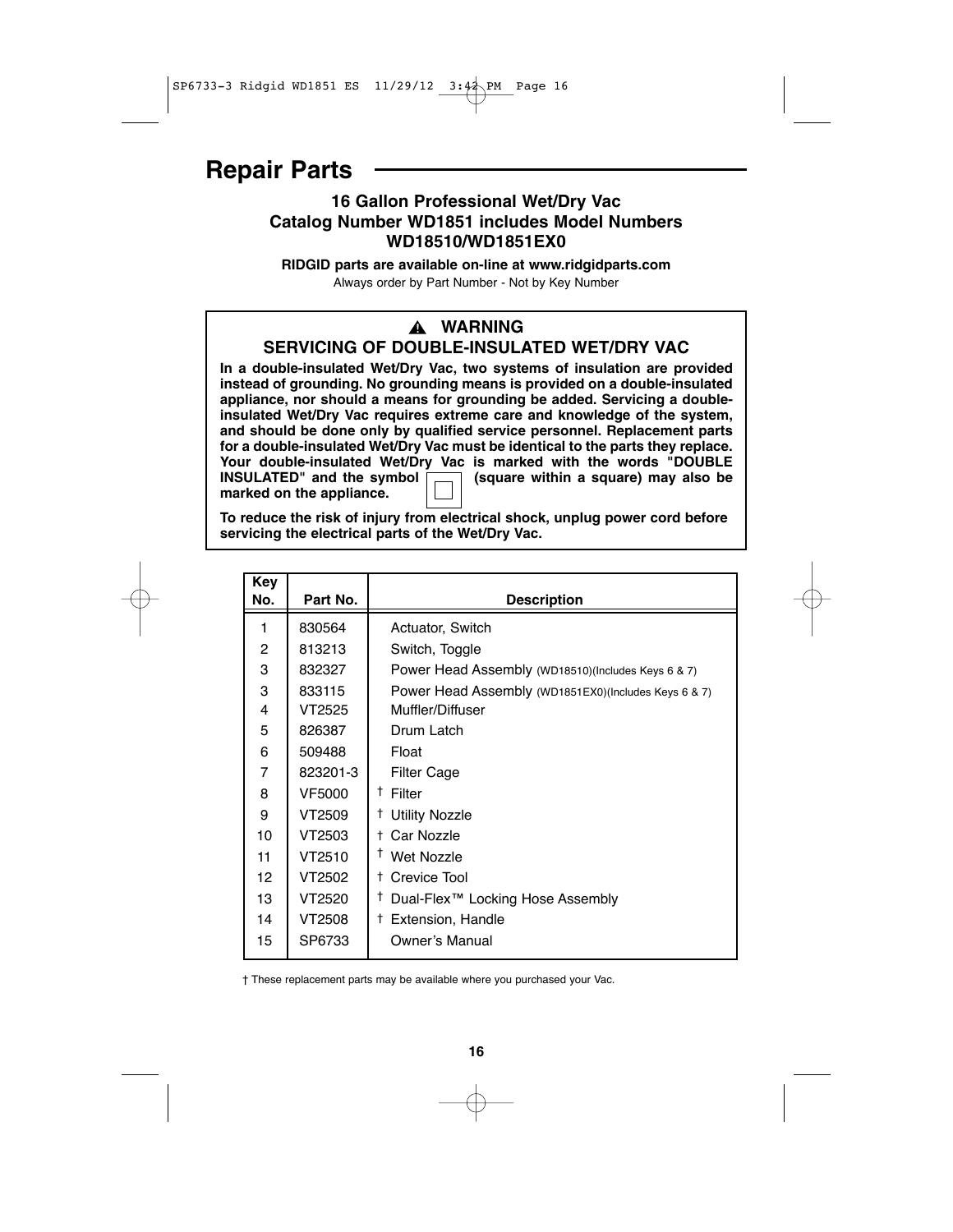### **Repair Parts**

### **16 Gallon Professional Wet/Dry Vac Catalog Number WD1851 includes Model Numbers WD18510/WD1851EX0**

**RIDGID parts are available on-line at www.ridgidparts.com** Always order by Part Number - Not by Key Number

### **WARNING !**

**SERVICING OF DOUBLE-INSULATED WET/DRY VAC**

**In a double-insulated Wet/Dry Vac, two systems of insulation are provided instead of grounding. No grounding means is provided on a double-insulated appliance, nor should a means for grounding be added. Servicing a doubleinsulated Wet/Dry Vac requires extreme care and knowledge of the system, and should be done only by qualified service personnel. Replacement parts for a double-insulated Wet/Dry Vac must be identical to the parts they replace. Your double-insulated Wet/Dry Vac is marked with the words "DOUBLE INSULATED"** and the symbol  $\boxed{)}$  (square within a square) may also be **marked on the appliance.**

**To reduce the risk of injury from electrical shock, unplug power cord before servicing the electrical parts of the Wet/Dry Vac.**

| <b>Key</b><br>No. | Part No. | <b>Description</b>                                   |
|-------------------|----------|------------------------------------------------------|
|                   |          |                                                      |
| 1                 | 830564   | Actuator, Switch                                     |
| $\overline{c}$    | 813213   | Switch, Toggle                                       |
| 3                 | 832327   | Power Head Assembly (WD18510)(Includes Keys 6 & 7)   |
| 3                 | 833115   | Power Head Assembly (WD1851EX0)(Includes Keys 6 & 7) |
| 4                 | VT2525   | Muffler/Diffuser                                     |
| 5                 | 826387   | Drum Latch                                           |
| 6                 | 509488   | Float                                                |
| $\overline{7}$    | 823201-3 | <b>Filter Cage</b>                                   |
| 8                 | VF5000   | <sup>†</sup> Filter                                  |
| 9                 | VT2509   | <b>Utility Nozzle</b><br>t                           |
| 10                | VT2503   | Car Nozzle<br>t.                                     |
| 11                | VT2510   | <sup>†</sup> Wet Nozzle                              |
| $12 \overline{ }$ | VT2502   | Crevice Tool<br>t.                                   |
| 13                | VT2520   | Ť<br>Dual-Flex™ Locking Hose Assembly                |
| 14                | VT2508   | <b>Extension, Handle</b><br>t.                       |
| 15                | SP6733   | Owner's Manual                                       |

† These replacement parts may be available where you purchased your Vac.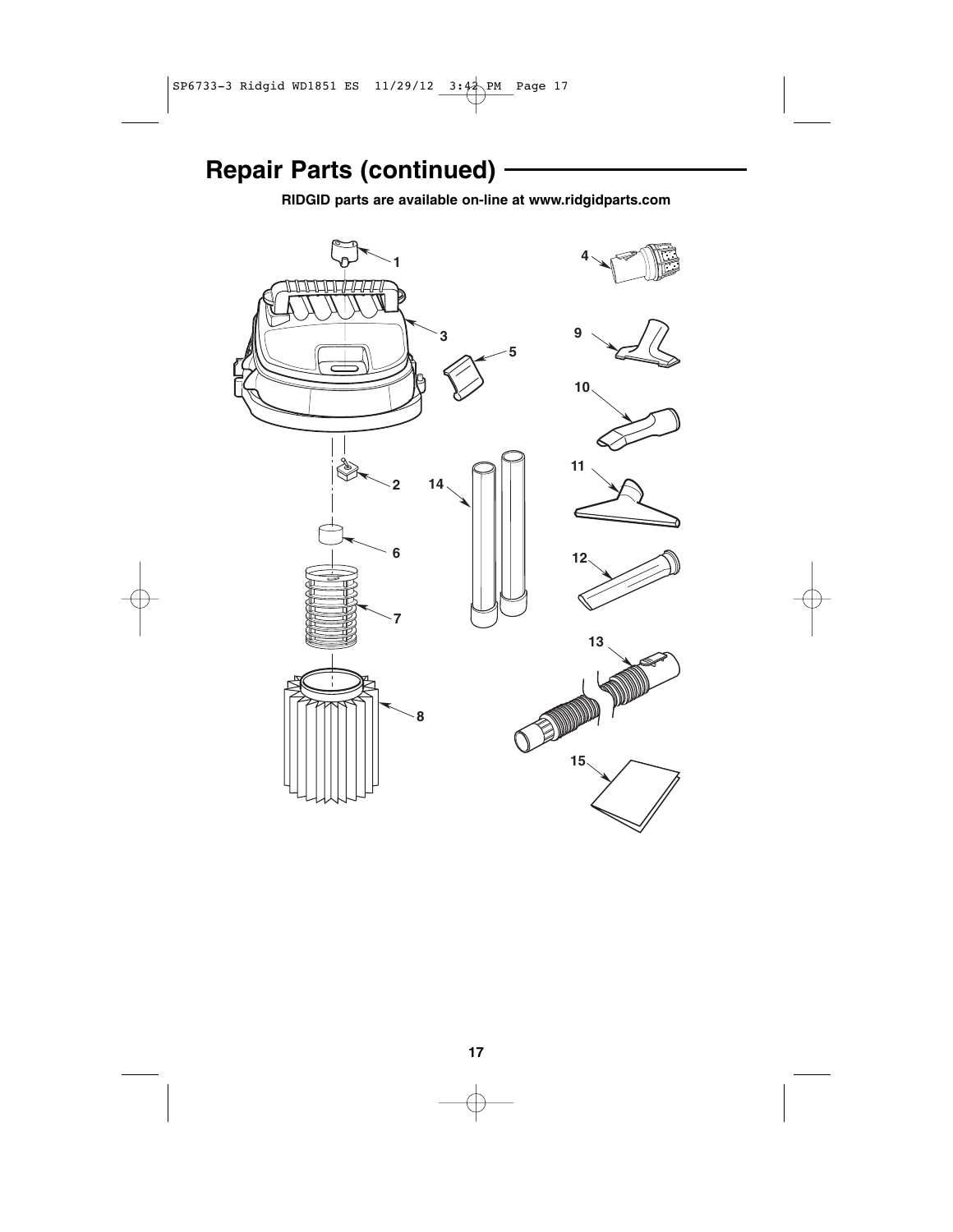# **Repair Parts (continued)**

**RIDGID parts are available on-line at www.ridgidparts.com**

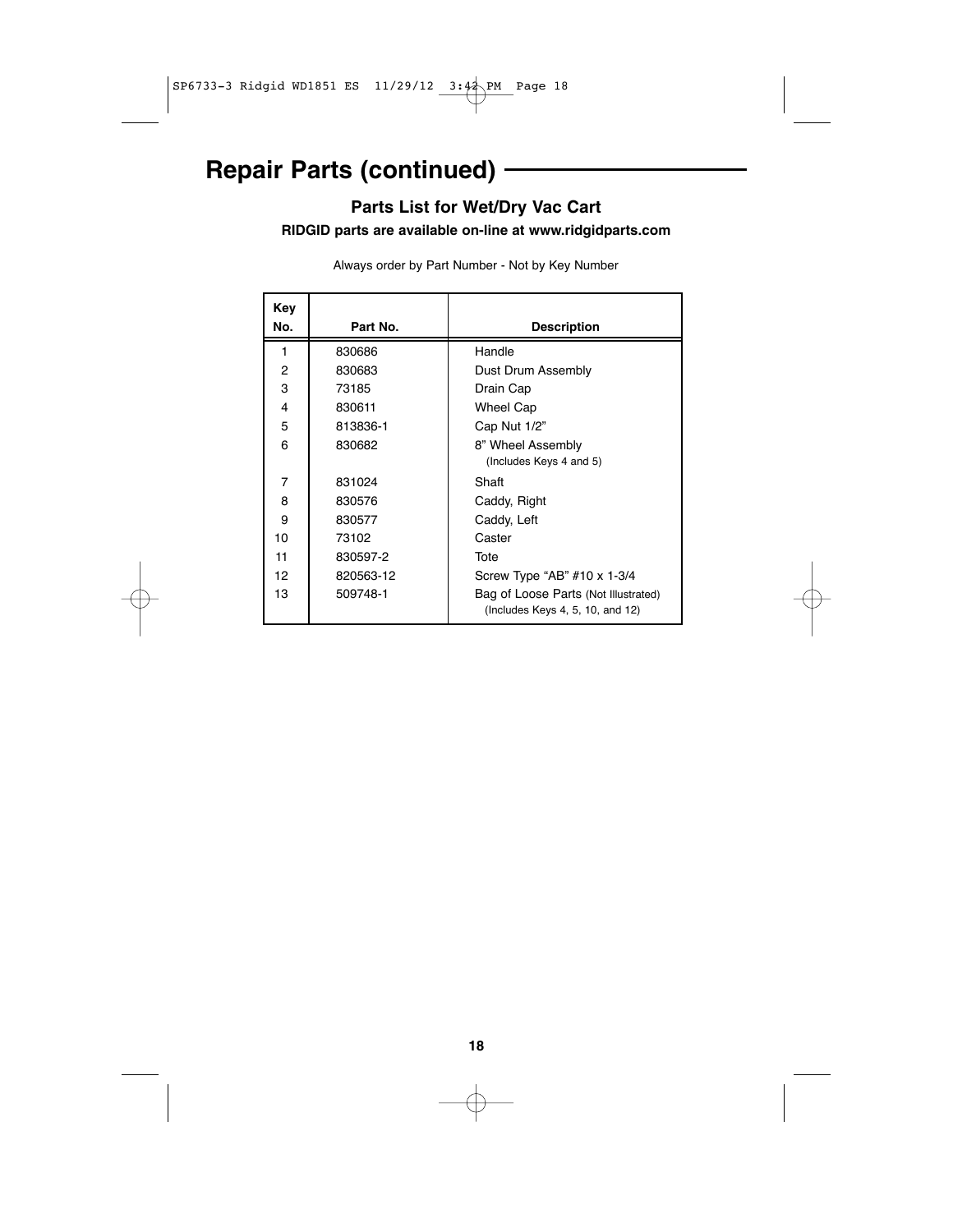# **Repair Parts (continued)**

### **Parts List for Wet/Dry Vac Cart**

**RIDGID parts are available on-line at www.ridgidparts.com**

Always order by Part Number - Not by Key Number

| Key<br>No. | Part No.  | <b>Description</b>                                                       |
|------------|-----------|--------------------------------------------------------------------------|
| 1          | 830686    | Handle                                                                   |
| 2          | 830683    | Dust Drum Assembly                                                       |
| 3          | 73185     | Drain Cap                                                                |
| 4          | 830611    | Wheel Cap                                                                |
| 5          | 813836-1  | Cap Nut 1/2"                                                             |
| 6          | 830682    | 8" Wheel Assembly                                                        |
|            |           | (Includes Keys 4 and 5)                                                  |
| 7          | 831024    | Shaft                                                                    |
| 8          | 830576    | Caddy, Right                                                             |
| 9          | 830577    | Caddy, Left                                                              |
| 10         | 73102     | Caster                                                                   |
| 11         | 830597-2  | Tote                                                                     |
| 12         | 820563-12 | Screw Type "AB" #10 x 1-3/4                                              |
| 13         | 509748-1  | Bag of Loose Parts (Not Illustrated)<br>(Includes Keys 4, 5, 10, and 12) |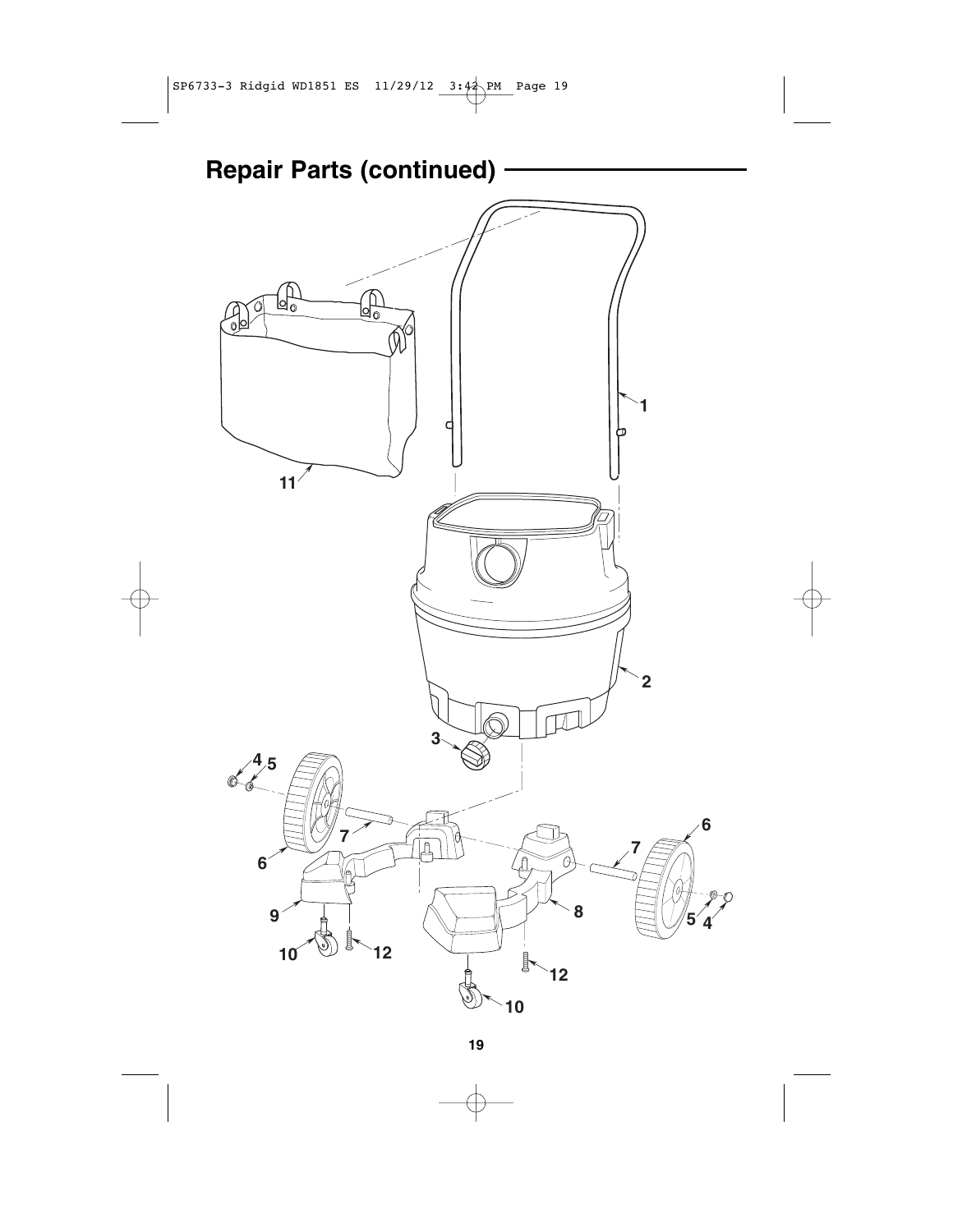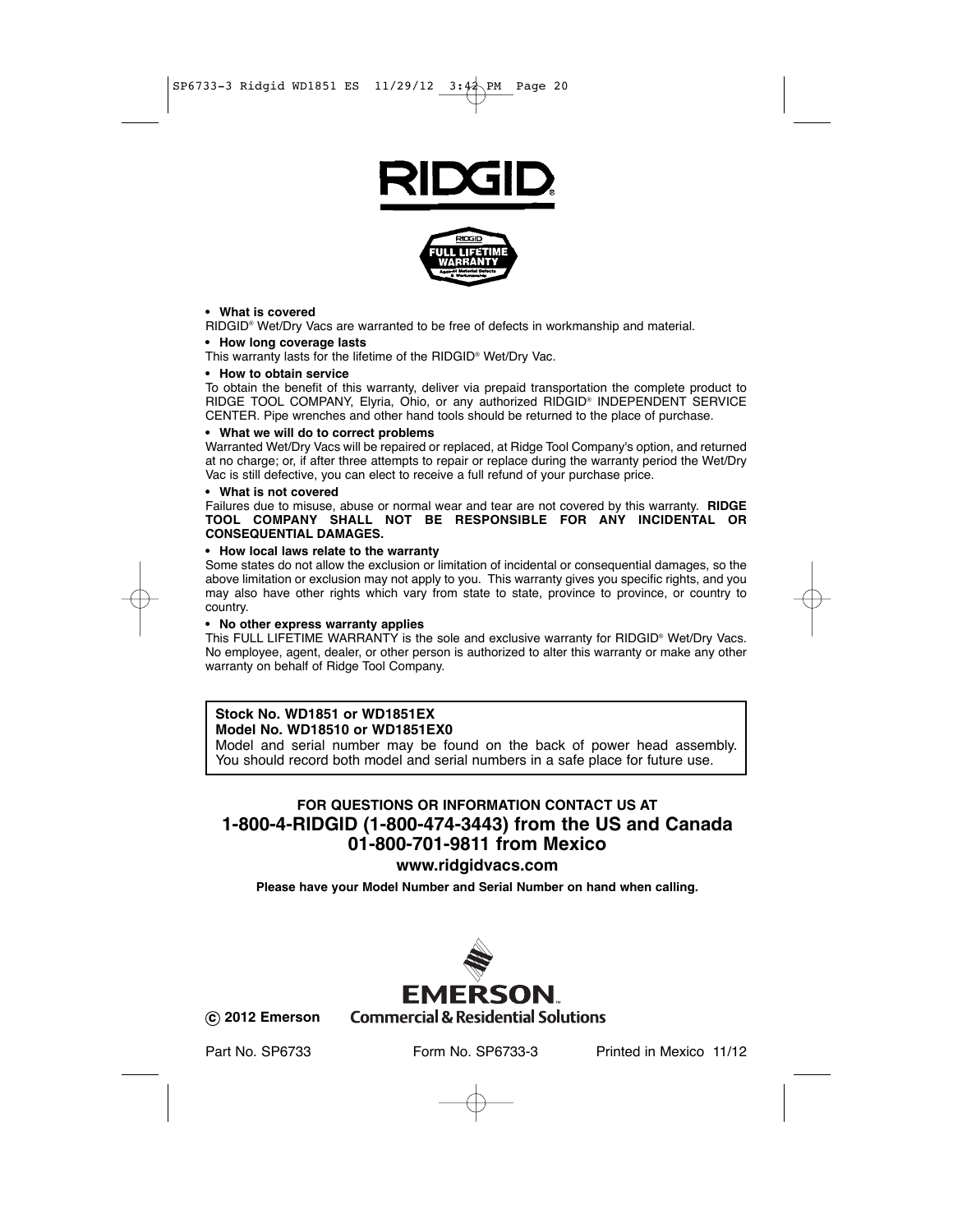



#### **• What is covered**

RIDGID® Wet/Dry Vacs are warranted to be free of defects in workmanship and material.

#### **• How long coverage lasts**

This warranty lasts for the lifetime of the RIDGID® Wet/Dry Vac.

#### **• How to obtain service**

To obtain the benefit of this warranty, deliver via prepaid transportation the complete product to RIDGE TOOL COMPANY, Elyria, Ohio, or any authorized RIDGID® INDEPENDENT SERVICE CENTER. Pipe wrenches and other hand tools should be returned to the place of purchase.

#### **• What we will do to correct problems**

Warranted Wet/Dry Vacs will be repaired or replaced, at Ridge Tool Company's option, and returned at no charge; or, if after three attempts to repair or replace during the warranty period the Wet/Dry Vac is still defective, you can elect to receive a full refund of your purchase price.

#### **• What is not covered**

Failures due to misuse, abuse or normal wear and tear are not covered by this warranty. **RIDGE TOOL COMPANY SHALL NOT BE RESPONSIBLE FOR ANY INCIDENTAL OR CONSEQUENTIAL DAMAGES.**

#### **• How local laws relate to the warranty**

Some states do not allow the exclusion or limitation of incidental or consequential damages, so the above limitation or exclusion may not apply to you. This warranty gives you specific rights, and you may also have other rights which vary from state to state, province to province, or country to country.

#### **• No other express warranty applies**

This FULL LIFETIME WARRANTY is the sole and exclusive warranty for RIDGID® Wet/Dry Vacs. No employee, agent, dealer, or other person is authorized to alter this warranty or make any other warranty on behalf of Ridge Tool Company.

### **Stock No. WD1851 or WD1851EX**

### **Model No. WD18510 or WD1851EX0**

Model and serial number may be found on the back of power head assembly. You should record both model and serial numbers in a safe place for future use.

### **FOR QUESTIONS OR INFORMATION CONTACT US AT 1-800-4-RIDGID (1-800-474-3443) from the US and Canada 01-800-701-9811 from Mexico**

### **www.ridgidvacs.com**

**Please have your Model Number and Serial Number on hand when calling.**



**c 2012 Emerson**

Part No. SP6733 Form No. SP6733-3 Printed in Mexico 11/12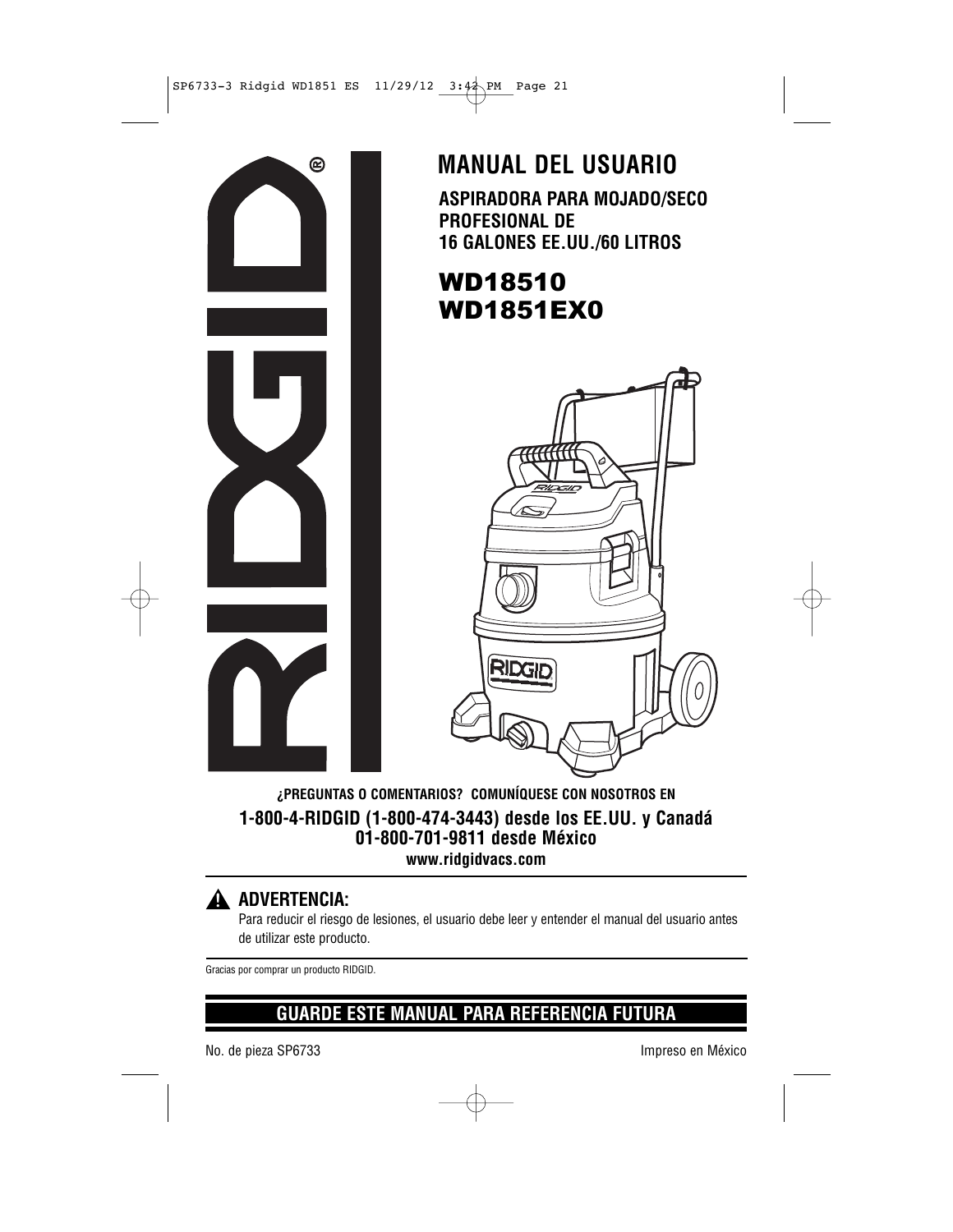

**ASPIRADORA PARA MOJADO/SECO PROFESIONAL DE 16 GALONES EE.UU./60 LITROS MANUAL DEL USUARIO**

# WD18510 WD1851EX0



**¿PREGUNTAS O COMENTARIOS? COMUNÍQUESE CON NOSOTROS EN 1-800-4-RIDGID (1-800-474-3443) desde los EE.UU. y Canadá 01-800-701-9811 desde México www.ridgidvacs.com**

### **ADVERTENCIA: !**

Para reducir el riesgo de lesiones, el usuario debe leer y entender el manual del usuario antes de utilizar este producto.

Gracias por comprar un producto RIDGID.

### **GUARDE ESTE MANUAL PARA REFERENCIA FUTURA**

No. de pieza SP6733 impreso en México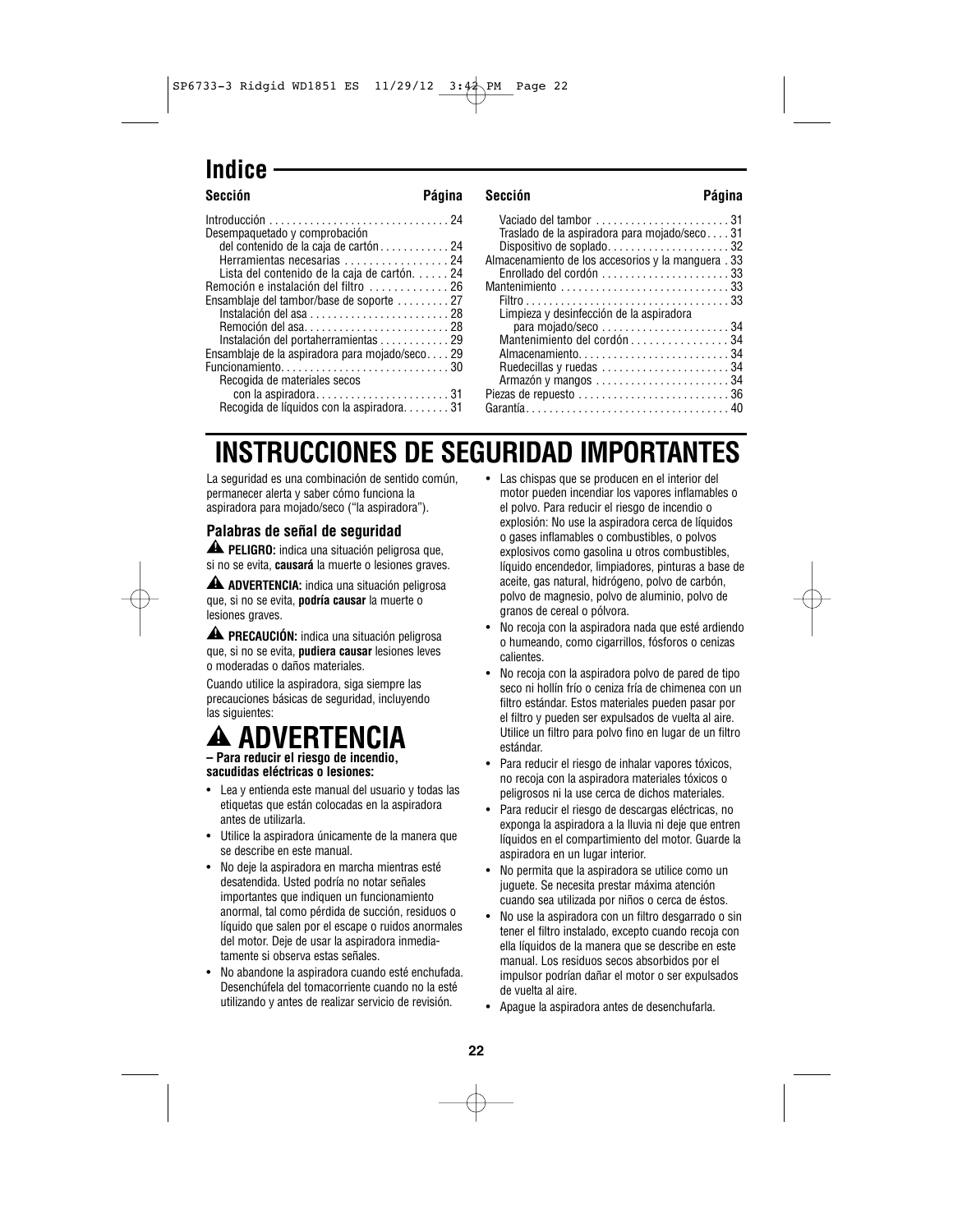### **Indice**

#### Introducción . . . . . . . . . . . . . . . . . . . . . . . . . . . . . . . 24 Desempaquetado y comprobación del contenido de la caja de cartón . . . . . . . . . . . . 24 Herramientas necesarias . . . . . . . . . . . . . . . . . 24 Lista del contenido de la caja de cartón. . . . . . 24 Remoción e instalación del filtro . . . . . . . . . . . . . 26 Ensamblaje del tambor/base de soporte . . . . . . . . . 27 Instalación del asa . . . . . . . . . . . . . . . . . . . . . . . . 28 Remoción del asa. . . . . . . . . . . . . . . . . . . . . . . . . 28 Instalación del portaherramientas . . . . . . . . . . . . 29 Ensamblaje de la aspiradora para mojado/seco. . . . 29 Funcionamiento. . . . . . . . . . . . . . . . . . . . . . . . . . . . . 30 Recogida de materiales secos con la aspiradora. . . . . . . . . . . . . . . . . . . . . . . 31 Recogida de líquidos con la aspiradora. . . . . . . . 31 Vaciado del tambor . . . . . . . . . . . . . . . . . . . . . . . 31 Traslado de la aspiradora para mojado/seco. . . . 31 Dispositivo de soplado. . . . . . . . . . . . . . . . . . . . . 32 Almacenamiento de los accesorios y la manguera . 33 Enrollado del cordón . . . . . . . . . . . . . . . . . . . . . . 33 Mantenimiento . . . . . . . . . . . . . . . . . . . . . . . . . . . . . 33 Filtro . . . . . . . . . . . . . . . . . . . . . . . . . . . . . . . . . . . 33 Limpieza y desinfección de la aspiradora para mojado/seco . . . . . . . . . . . . . . . . . . . . . . 34 Mantenimiento del cordón . . . . . . . . . . . . . . . . 34 Almacenamiento. . . . . . . . . . . . . . . . . . . . . . . . . . 34 Ruedecillas y ruedas . . . . . . . . . . . . . . . . . . . . . . 34 Armazón y mangos . . . . . . . . . . . . . . . . . . . . . . . 34 Piezas de repuesto . . . . . . . . . . . . . . . . . . . . . . . . . . 36 Garantía. . . . . . . . . . . . . . . . . . . . . . . . . . . . . . . . . . . 40 **Sección Página Sección Página**

# **INSTRUCCIONES DE SEGURIDAD IMPORTANTES**

La seguridad es una combinación de sentido común, permanecer alerta y saber cómo funciona la aspiradora para mojado/seco ("la aspiradora").

#### **Palabras de señal de seguridad**

**PELIGRO:** indica una situación peligrosa que, **!** si no se evita, **causará** la muerte o lesiones graves.

**ADVERTENCIA:** indica una situación peligrosa **!** que, si no se evita, **podría causar** la muerte o lesiones graves.

**PRECAUCIÓN:** indica una situación peligrosa **!** que, si no se evita, **pudiera causar** lesiones leves o moderadas o daños materiales.

Cuando utilice la aspiradora, siga siempre las precauciones básicas de seguridad, incluyendo las siguientes:

# **ADVERTENCIA**

**– Para reducir el riesgo de incendio, sacudidas eléctricas o lesiones:**

- Lea y entienda este manual del usuario y todas las etiquetas que están colocadas en la aspiradora antes de utilizarla.
- Utilice la aspiradora únicamente de la manera que se describe en este manual.
- No deje la aspiradora en marcha mientras esté desatendida. Usted podría no notar señales importantes que indiquen un funcionamiento anormal, tal como pérdida de succión, residuos o líquido que salen por el escape o ruidos anormales del motor. Deje de usar la aspiradora inmediatamente si observa estas señales.
- No abandone la aspiradora cuando esté enchufada. Desenchúfela del tomacorriente cuando no la esté utilizando y antes de realizar servicio de revisión.
- Las chispas que se producen en el interior del motor pueden incendiar los vapores inflamables o el polvo. Para reducir el riesgo de incendio o explosión: No use la aspiradora cerca de líquidos o gases inflamables o combustibles, o polvos explosivos como gasolina u otros combustibles, líquido encendedor, limpiadores, pinturas a base de aceite, gas natural, hidrógeno, polvo de carbón, polvo de magnesio, polvo de aluminio, polvo de granos de cereal o pólvora.
- No recoja con la aspiradora nada que esté ardiendo o humeando, como cigarrillos, fósforos o cenizas calientes.
- No recoja con la aspiradora polvo de pared de tipo seco ni hollín frío o ceniza fría de chimenea con un filtro estándar. Estos materiales pueden pasar por el filtro y pueden ser expulsados de vuelta al aire. Utilice un filtro para polvo fino en lugar de un filtro estándar.
- Para reducir el riesgo de inhalar vapores tóxicos, no recoja con la aspiradora materiales tóxicos o peligrosos ni la use cerca de dichos materiales.
- Para reducir el riesgo de descargas eléctricas, no exponga la aspiradora a la lluvia ni deje que entren líquidos en el compartimiento del motor. Guarde la aspiradora en un lugar interior.
- No permita que la aspiradora se utilice como un juguete. Se necesita prestar máxima atención cuando sea utilizada por niños o cerca de éstos.
- No use la aspiradora con un filtro desgarrado o sin tener el filtro instalado, excepto cuando recoja con ella líquidos de la manera que se describe en este manual. Los residuos secos absorbidos por el impulsor podrían dañar el motor o ser expulsados de vuelta al aire.
- Apague la aspiradora antes de desenchufarla.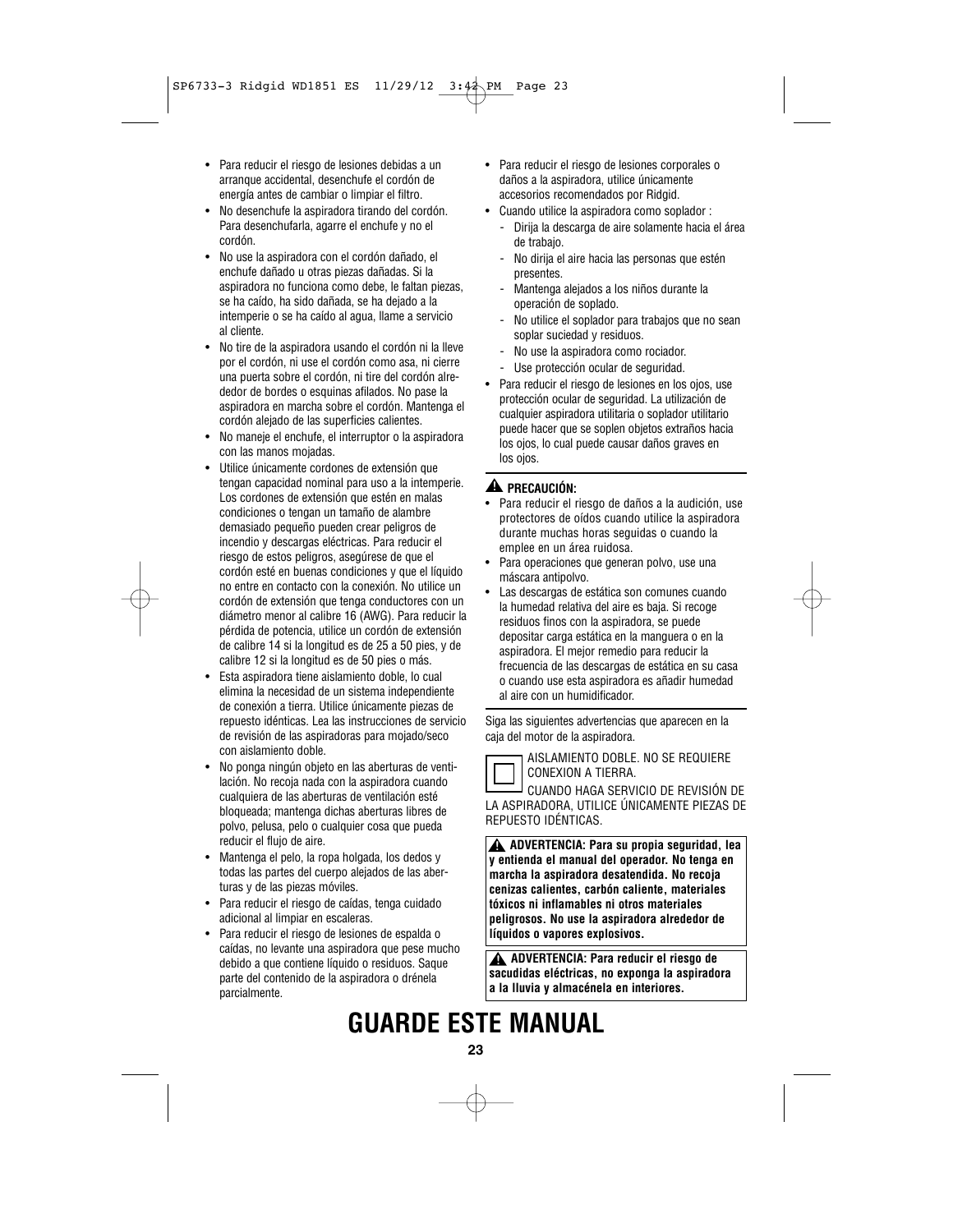- Para reducir el riesgo de lesiones debidas a un arranque accidental, desenchufe el cordón de energía antes de cambiar o limpiar el filtro.
- No desenchufe la aspiradora tirando del cordón. Para desenchufarla, agarre el enchufe y no el cordón.
- No use la aspiradora con el cordón dañado, el enchufe dañado u otras piezas dañadas. Si la aspiradora no funciona como debe, le faltan piezas, se ha caído, ha sido dañada, se ha dejado a la intemperie o se ha caído al agua, llame a servicio al cliente.
- No tire de la aspiradora usando el cordón ni la lleve por el cordón, ni use el cordón como asa, ni cierre una puerta sobre el cordón, ni tire del cordón alrededor de bordes o esquinas afilados. No pase la aspiradora en marcha sobre el cordón. Mantenga el cordón alejado de las superficies calientes.
- No maneje el enchufe, el interruptor o la aspiradora con las manos mojadas.
- Utilice únicamente cordones de extensión que tengan capacidad nominal para uso a la intemperie. Los cordones de extensión que estén en malas condiciones o tengan un tamaño de alambre demasiado pequeño pueden crear peligros de incendio y descargas eléctricas. Para reducir el riesgo de estos peligros, asegúrese de que el cordón esté en buenas condiciones y que el líquido no entre en contacto con la conexión. No utilice un cordón de extensión que tenga conductores con un diámetro menor al calibre 16 (AWG). Para reducir la pérdida de potencia, utilice un cordón de extensión de calibre 14 si la longitud es de 25 a 50 pies, y de calibre 12 si la longitud es de 50 pies o más.
- Esta aspiradora tiene aislamiento doble, lo cual elimina la necesidad de un sistema independiente de conexión a tierra. Utilice únicamente piezas de repuesto idénticas. Lea las instrucciones de servicio de revisión de las aspiradoras para mojado/seco con aislamiento doble.
- No ponga ningún objeto en las aberturas de ventilación. No recoja nada con la aspiradora cuando cualquiera de las aberturas de ventilación esté bloqueada; mantenga dichas aberturas libres de polvo, pelusa, pelo o cualquier cosa que pueda reducir el flujo de aire.
- Mantenga el pelo, la ropa holgada, los dedos y todas las partes del cuerpo alejados de las aberturas y de las piezas móviles.
- Para reducir el riesgo de caídas, tenga cuidado adicional al limpiar en escaleras.
- Para reducir el riesgo de lesiones de espalda o caídas, no levante una aspiradora que pese mucho debido a que contiene líquido o residuos. Saque parte del contenido de la aspiradora o drénela parcialmente.
- Para reducir el riesgo de lesiones corporales o daños a la aspiradora, utilice únicamente accesorios recomendados por Ridgid.
- Cuando utilice la aspiradora como soplador :
- Dirija la descarga de aire solamente hacia el área de trabajo.
- No dirija el aire hacia las personas que estén presentes.
- Mantenga alejados a los niños durante la operación de soplado.
- No utilice el soplador para trabajos que no sean soplar suciedad y residuos.
- No use la aspiradora como rociador.
- Use protección ocular de seguridad.
- Para reducir el riesgo de lesiones en los ojos, use protección ocular de seguridad. La utilización de cualquier aspiradora utilitaria o soplador utilitario puede hacer que se soplen objetos extraños hacia los ojos, lo cual puede causar daños graves en los ojos.

### **PRECAUCIÓN: !**

- Para reducir el riesgo de daños a la audición, use protectores de oídos cuando utilice la aspiradora durante muchas horas seguidas o cuando la emplee en un área ruidosa.
- Para operaciones que generan polvo, use una máscara antipolvo.
- Las descargas de estática son comunes cuando la humedad relativa del aire es baja. Si recoge residuos finos con la aspiradora, se puede depositar carga estática en la manguera o en la aspiradora. El mejor remedio para reducir la frecuencia de las descargas de estática en su casa o cuando use esta aspiradora es añadir humedad al aire con un humidificador.

Siga las siguientes advertencias que aparecen en la caja del motor de la aspiradora.



AISLAMIENTO DOBLE. NO SE REQUIERE CONEXION A TIERRA.

CUANDO HAGA SERVICIO DE REVISIÓN DE LA ASPIRADORA, UTILICE ÚNICAMENTE PIEZAS DE REPUESTO IDÉNTICAS.

**ADVERTENCIA: Para su propia seguridad, lea ! y entienda el manual del operador. No tenga en marcha la aspiradora desatendida. No recoja cenizas calientes, carbón caliente, materiales tóxicos ni inflamables ni otros materiales peligrosos. No use la aspiradora alrededor de líquidos o vapores explosivos.**

**ADVERTENCIA: Para reducir el riesgo de ! sacudidas eléctricas, no exponga la aspiradora a la lluvia y almacénela en interiores.**

# **GUARDE ESTE MANUAL**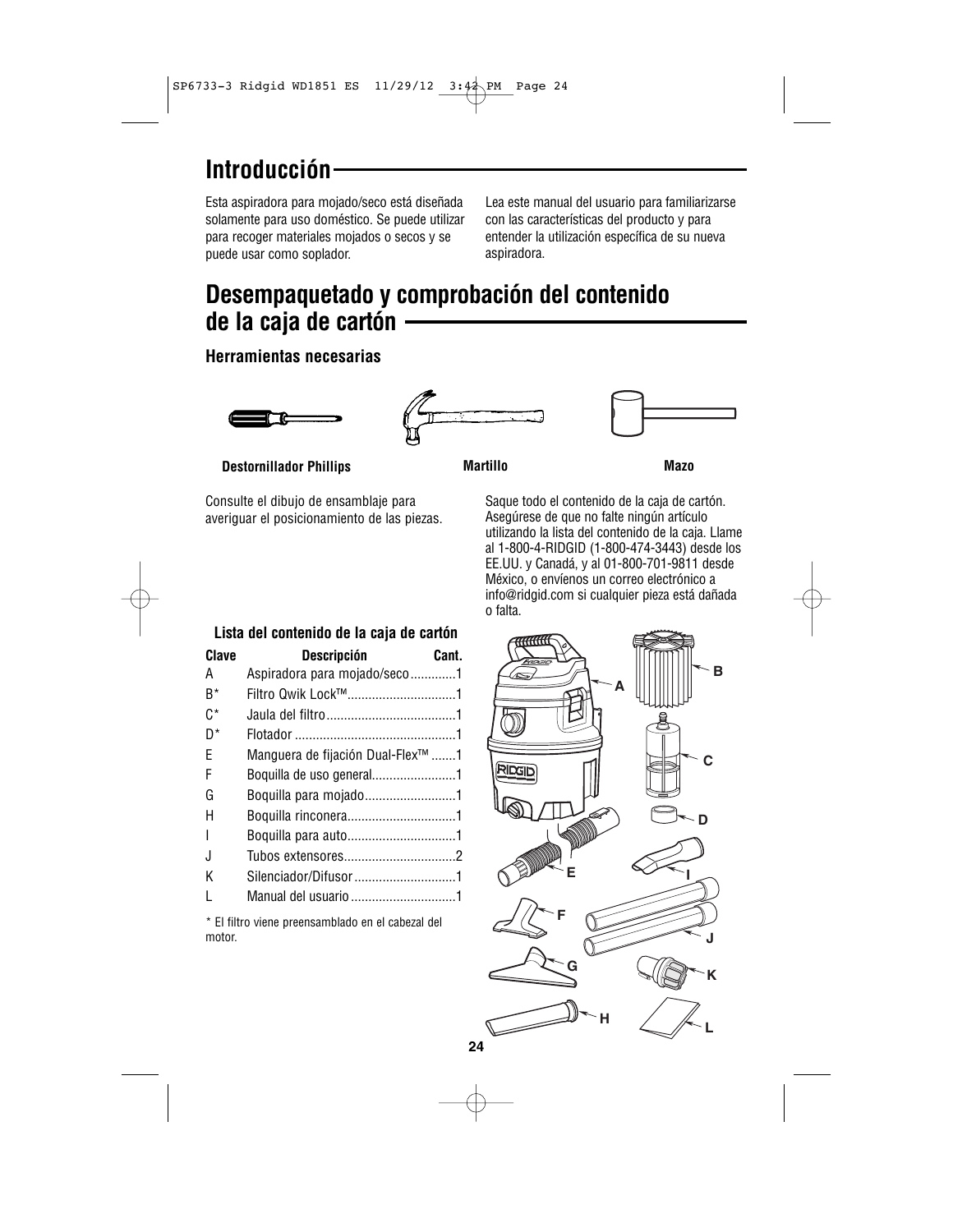# **Introducción**

Esta aspiradora para mojado/seco está diseñada solamente para uso doméstico. Se puede utilizar para recoger materiales mojados o secos y se puede usar como soplador.

Lea este manual del usuario para familiarizarse con las características del producto y para entender la utilización específica de su nueva aspiradora.

# **Desempaquetado y comprobación del contenido de la caja de cartón**

### **Herramientas necesarias**







**Destornillador Phillips**

Consulte el dibujo de ensamblaje para averiguar el posicionamiento de las piezas.

| Martillo |
|----------|
|----------|

**Martillo Mazo**

Saque todo el contenido de la caja de cartón. Asegúrese de que no falte ningún artículo utilizando la lista del contenido de la caja. Llame al 1-800-4-RIDGID (1-800-474-3443) desde los EE.UU. y Canadá, y al 01-800-701-9811 desde México, o envíenos un correo electrónico a info@ridgid.com si cualquier pieza está dañada o falta.

| Lista del contenido de la caja de cartón |                                                         |       |
|------------------------------------------|---------------------------------------------------------|-------|
| Clave                                    | <b>Descripción</b>                                      | Cant. |
| А                                        | Aspiradora para mojado/seco1                            |       |
| $B^*$                                    | Filtro Qwik Lock™1                                      |       |
| $C^*$                                    |                                                         |       |
| $D^*$                                    |                                                         |       |
| F                                        | Manguera de fijación Dual-Flex <sup>™</sup> 1           |       |
| F                                        | Boquilla de uso general1                                |       |
| G                                        | Boquilla para mojado1                                   |       |
| н                                        |                                                         |       |
| I                                        |                                                         |       |
| J                                        |                                                         |       |
| Κ                                        | Silenciador/Difusor1                                    |       |
| L                                        | Manual del usuario 1                                    |       |
|                                          | * El Clina colonia non en establecia en la estacial del |       |

El filtro viene preensamblado en el cabezal del motor.

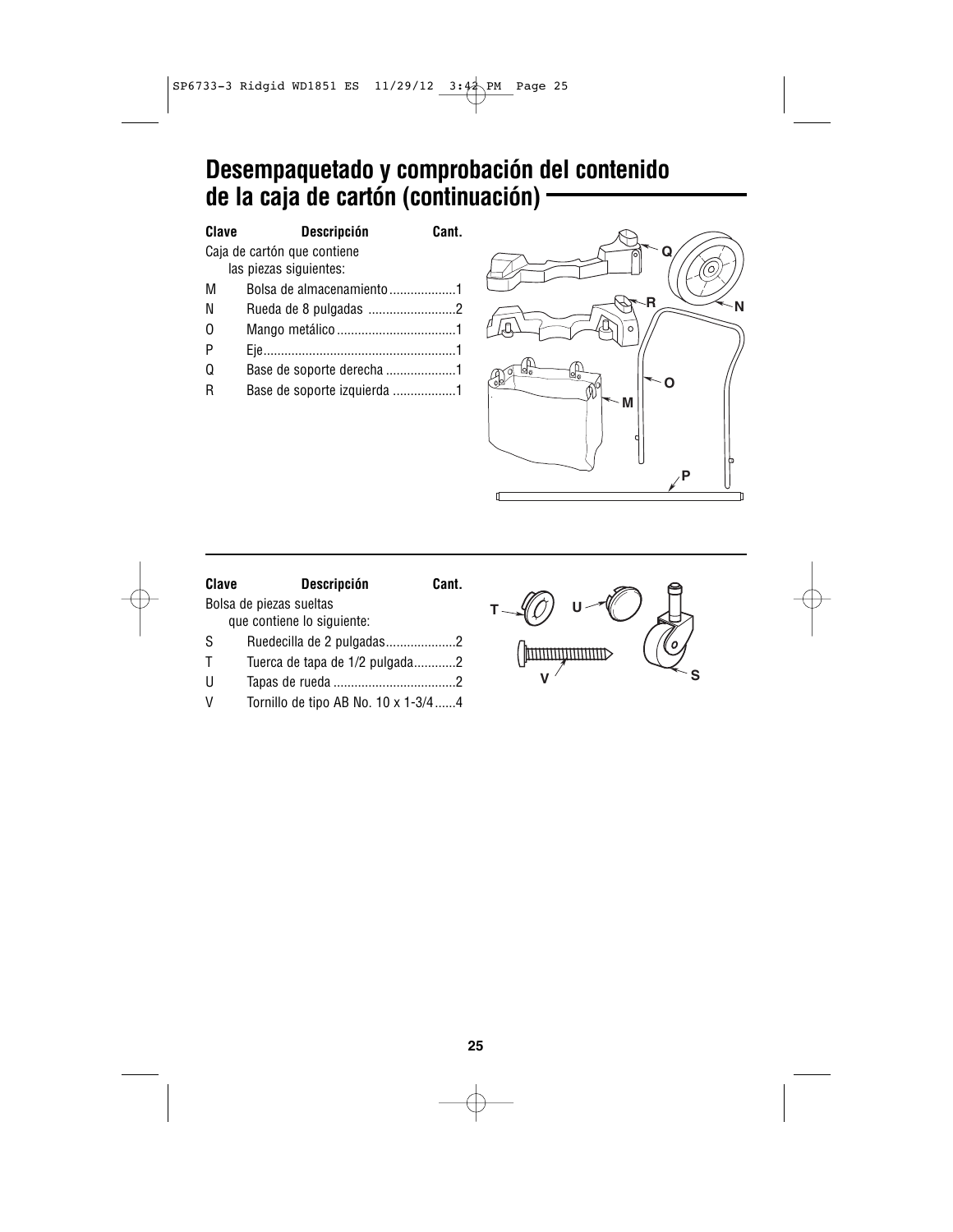# **Desempaquetado y comprobación del contenido de la caja de cartón (continuación)**

| Clave                       | <b>Descripción</b>          | Cant. |
|-----------------------------|-----------------------------|-------|
| Caja de cartón que contiene |                             |       |
|                             | las piezas siguientes:      |       |
| М                           | Bolsa de almacenamiento 1   |       |
| N                           |                             |       |
| 0                           |                             |       |
| P                           |                             |       |
| Q                           | Base de soporte derecha 1   |       |
| R                           | Base de soporte izquierda 1 |       |



| <b>Descripción</b><br>Clave | Cant.                                                                                              |
|-----------------------------|----------------------------------------------------------------------------------------------------|
| Bolsa de piezas sueltas     |                                                                                                    |
| que contiene lo siguiente:  |                                                                                                    |
|                             |                                                                                                    |
|                             |                                                                                                    |
|                             |                                                                                                    |
|                             |                                                                                                    |
|                             | Ruedecilla de 2 pulgadas2<br>Tuerca de tapa de 1/2 pulgada2<br>Tornillo de tipo AB No. 10 x 1-3/44 |

**U T** (pmmmmmmmmm **V S**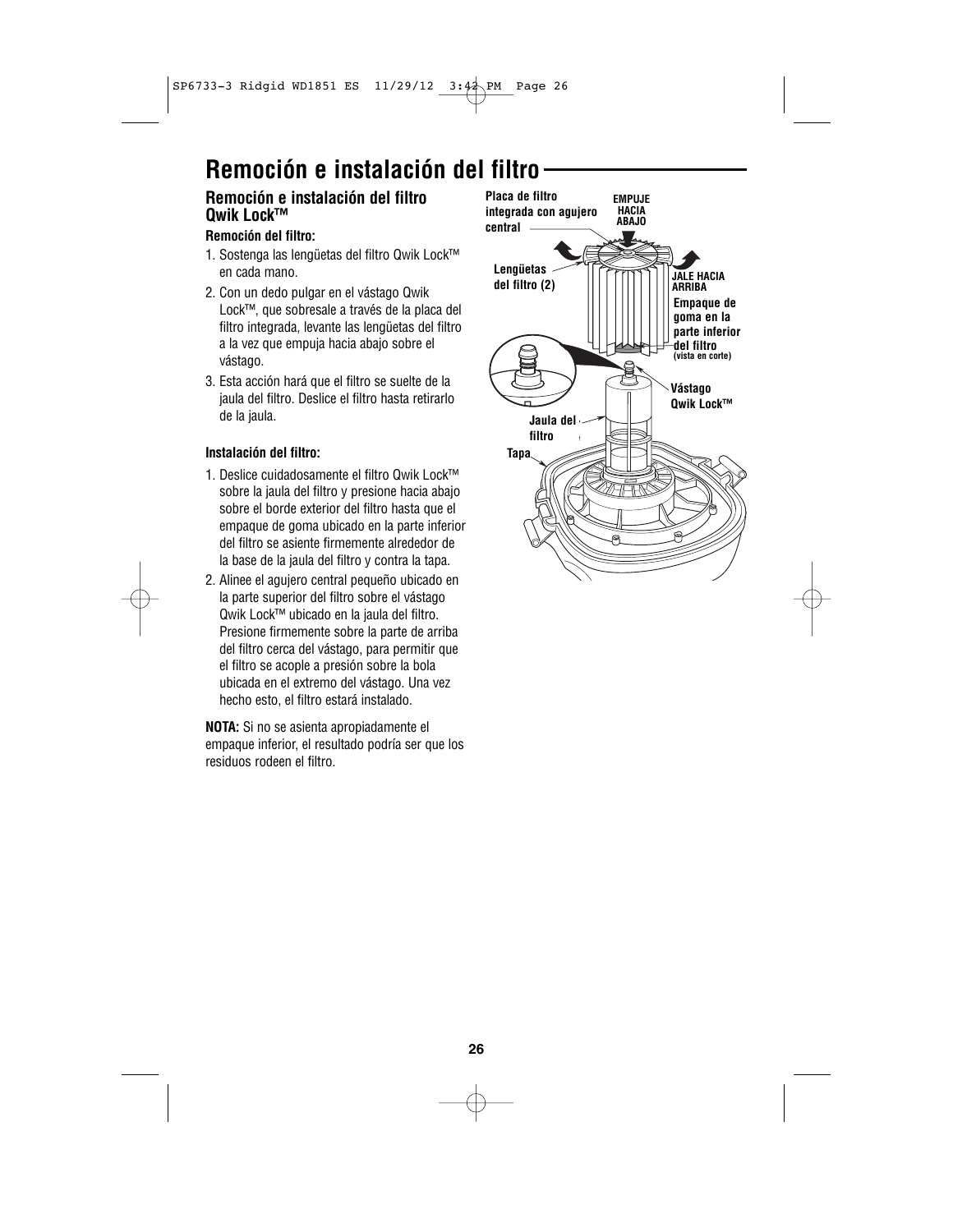# **Remoción e instalación del filtro**

### **Remoción e instalación del filtro Qwik Lock™**

### **Remoción del filtro:**

- 1. Sostenga las lengüetas del filtro Qwik Lock™ en cada mano.
- 2. Con un dedo pulgar en el vástago Qwik Lock™, que sobresale a través de la placa del filtro integrada, levante las lengüetas del filtro a la vez que empuja hacia abajo sobre el vástago.
- 3. Esta acción hará que el filtro se suelte de la jaula del filtro. Deslice el filtro hasta retirarlo de la jaula.

### **Instalación del filtro:**

- 1. Deslice cuidadosamente el filtro Qwik Lock™ sobre la jaula del filtro y presione hacia abajo sobre el borde exterior del filtro hasta que el empaque de goma ubicado en la parte inferior del filtro se asiente firmemente alrededor de la base de la jaula del filtro y contra la tapa.
- 2. Alinee el agujero central pequeño ubicado en la parte superior del filtro sobre el vástago Qwik Lock™ ubicado en la jaula del filtro. Presione firmemente sobre la parte de arriba del filtro cerca del vástago, para permitir que el filtro se acople a presión sobre la bola ubicada en el extremo del vástago. Una vez hecho esto, el filtro estará instalado.

**NOTA:** Si no se asienta apropiadamente el empaque inferior, el resultado podría ser que los residuos rodeen el filtro.

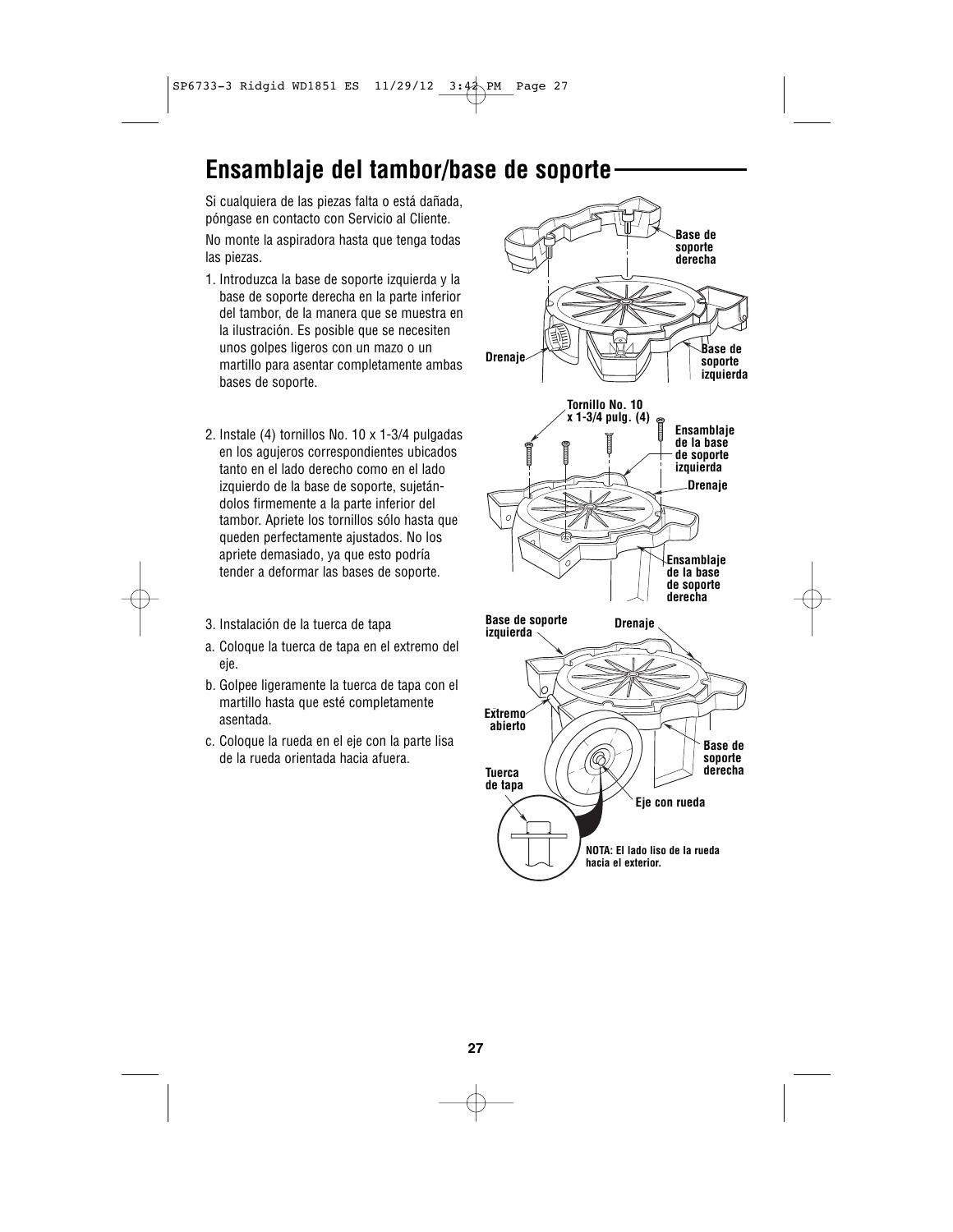### **Ensamblaje del tambor/base de soporte**

Si cualquiera de las piezas falta o está dañada, póngase en contacto con Servicio al Cliente. No monte la aspiradora hasta que tenga todas las piezas.

- 1. Introduzca la base de soporte izquierda y la base de soporte derecha en la parte inferior del tambor, de la manera que se muestra en la ilustración. Es posible que se necesiten unos golpes ligeros con un mazo o un martillo para asentar completamente ambas bases de soporte.
- 2. Instale (4) tornillos No. 10 x 1-3/4 pulgadas en los agujeros correspondientes ubicados tanto en el lado derecho como en el lado izquierdo de la base de soporte, sujetándolos firmemente a la parte inferior del tambor. Apriete los tornillos sólo hasta que queden perfectamente ajustados. No los apriete demasiado, ya que esto podría tender a deformar las bases de soporte.
- 3. Instalación de la tuerca de tapa
- a. Coloque la tuerca de tapa en el extremo del eje.
- b. Golpee ligeramente la tuerca de tapa con el martillo hasta que esté completamente asentada.
- c. Coloque la rueda en el eje con la parte lisa de la rueda orientada hacia afuera.

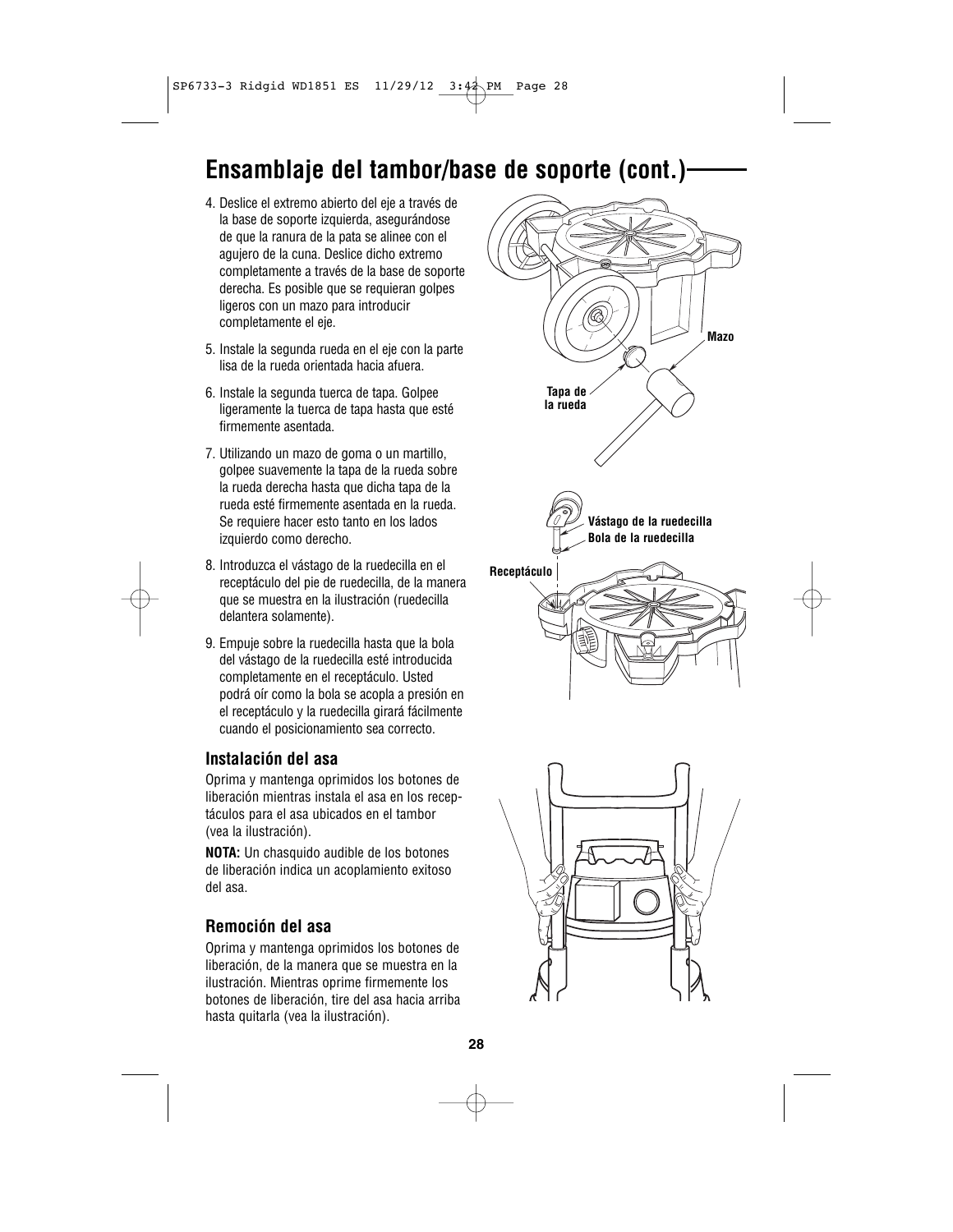# **Ensamblaje del tambor/base de soporte (cont.)**

- 4. Deslice el extremo abierto del eje a través de la base de soporte izquierda, asegurándose de que la ranura de la pata se alinee con el agujero de la cuna. Deslice dicho extremo completamente a través de la base de soporte derecha. Es posible que se requieran golpes ligeros con un mazo para introducir completamente el eje.
- 5. Instale la segunda rueda en el eje con la parte lisa de la rueda orientada hacia afuera.
- 6. Instale la segunda tuerca de tapa. Golpee ligeramente la tuerca de tapa hasta que esté firmemente asentada.
- 7. Utilizando un mazo de goma o un martillo, golpee suavemente la tapa de la rueda sobre la rueda derecha hasta que dicha tapa de la rueda esté firmemente asentada en la rueda. Se requiere hacer esto tanto en los lados izquierdo como derecho.
- 8. Introduzca el vástago de la ruedecilla en el receptáculo del pie de ruedecilla, de la manera que se muestra en la ilustración (ruedecilla delantera solamente).
- 9. Empuje sobre la ruedecilla hasta que la bola del vástago de la ruedecilla esté introducida completamente en el receptáculo. Usted podrá oír como la bola se acopla a presión en el receptáculo y la ruedecilla girará fácilmente cuando el posicionamiento sea correcto.

### **Instalación del asa**

Oprima y mantenga oprimidos los botones de liberación mientras instala el asa en los receptáculos para el asa ubicados en el tambor (vea la ilustración).

**NOTA:** Un chasquido audible de los botones de liberación indica un acoplamiento exitoso del asa.

### **Remoción del asa**

Oprima y mantenga oprimidos los botones de liberación, de la manera que se muestra en la ilustración. Mientras oprime firmemente los botones de liberación, tire del asa hacia arriba hasta quitarla (vea la ilustración).



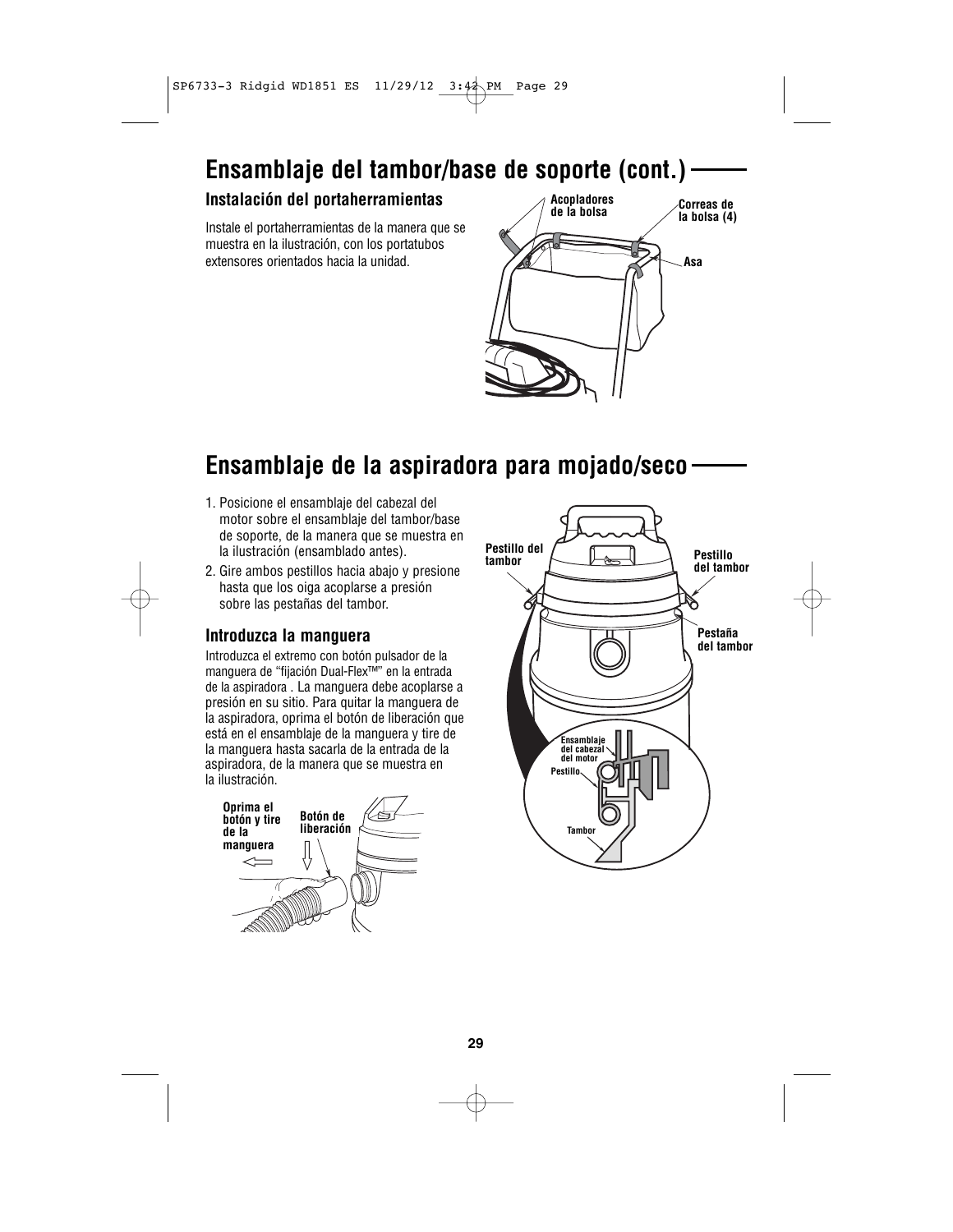# **Ensamblaje del tambor/base de soporte (cont.)**

### **Instalación del portaherramientas**

Instale el portaherramientas de la manera que se muestra en la ilustración, con los portatubos extensores orientados hacia la unidad.



# **Ensamblaje de la aspiradora para mojado/seco**

- 1. Posicione el ensamblaje del cabezal del motor sobre el ensamblaje del tambor/base de soporte, de la manera que se muestra en la ilustración (ensamblado antes).
- 2. Gire ambos pestillos hacia abajo y presione<br>
hasta que los oiga acoplarse a presión<br>
sobre las pestañas del tambor.<br> **Introduzca la manguera** hasta que los oiga acoplarse a presión sobre las pestañas del tambor.

Introduzca el extremo con botón pulsador de la manguera de "fijación Dual-Flex™" en la entrada de la aspiradora . La manguera debe acoplarse a presión en su sitio. Para quitar la manguera de la aspiradora, oprima el botón de liberación que está en el ensamblaje de la manguera y tire de la manguera hasta sacarla de la entrada de la aspiradora, de la manera que se muestra en la ilustración.



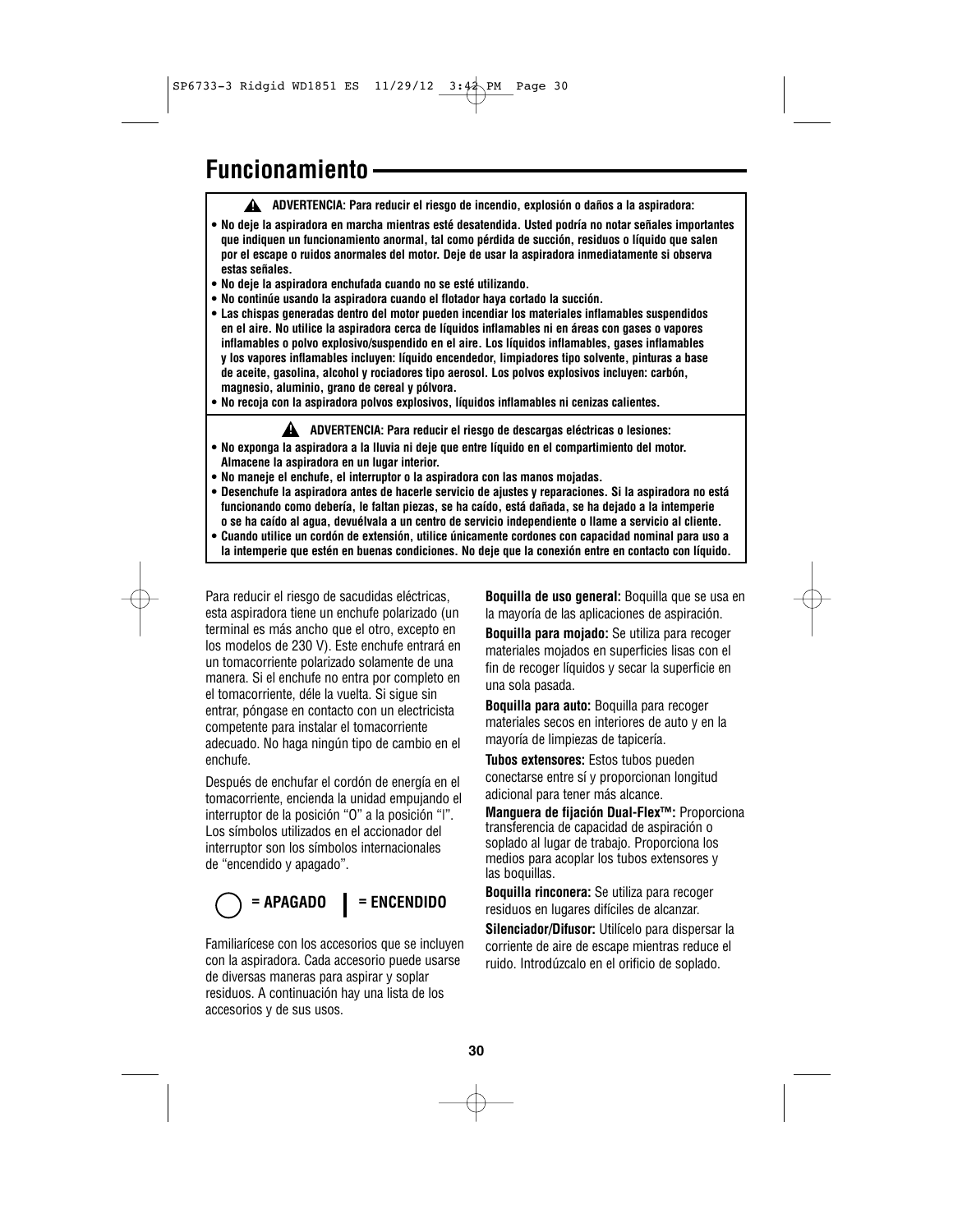### **Funcionamiento**

- **ADVERTENCIA: Para reducir el riesgo de incendio, explosión o daños a la aspiradora: !**
- **No deje la aspiradora en marcha mientras esté desatendida. Usted podría no notar señales importantes que indiquen un funcionamiento anormal, tal como pérdida de succión, residuos o líquido que salen por el escape o ruidos anormales del motor. Deje de usar la aspiradora inmediatamente si observa estas señales.**
- **No deje la aspiradora enchufada cuando no se esté utilizando.**
- **No continúe usando la aspiradora cuando el flotador haya cortado la succión.**
- **Las chispas generadas dentro del motor pueden incendiar los materiales inflamables suspendidos en el aire. No utilice la aspiradora cerca de líquidos inflamables ni en áreas con gases o vapores inflamables o polvo explosivo/suspendido en el aire. Los líquidos inflamables, gases inflamables y los vapores inflamables incluyen: líquido encendedor, limpiadores tipo solvente, pinturas a base de aceite, gasolina, alcohol y rociadores tipo aerosol. Los polvos explosivos incluyen: carbón, magnesio, aluminio, grano de cereal y pólvora.**
- **No recoja con la aspiradora polvos explosivos, líquidos inflamables ni cenizas calientes.**

**ADVERTENCIA: Para reducir el riesgo de descargas eléctricas o lesiones: !**

- **No exponga la aspiradora a la lluvia ni deje que entre líquido en el compartimiento del motor. Almacene la aspiradora en un lugar interior.**
- **No maneje el enchufe, el interruptor o la aspiradora con las manos mojadas.**
- **Desenchufe la aspiradora antes de hacerle servicio de ajustes y reparaciones. Si la aspiradora no está funcionando como debería, le faltan piezas, se ha caído, está dañada, se ha dejado a la intemperie o se ha caído al agua, devuélvala a un centro de servicio independiente o llame a servicio al cliente.**
- **Cuando utilice un cordón de extensión, utilice únicamente cordones con capacidad nominal para uso a la intemperie que estén en buenas condiciones. No deje que la conexión entre en contacto con líquido.**

Para reducir el riesgo de sacudidas eléctricas, esta aspiradora tiene un enchufe polarizado (un terminal es más ancho que el otro, excepto en los modelos de 230 V). Este enchufe entrará en un tomacorriente polarizado solamente de una manera. Si el enchufe no entra por completo en el tomacorriente, déle la vuelta. Si sigue sin entrar, póngase en contacto con un electricista competente para instalar el tomacorriente adecuado. No haga ningún tipo de cambio en el enchufe.

Después de enchufar el cordón de energía en el tomacorriente, encienda la unidad empujando el interruptor de la posición "O" a la posición "|". Los símbolos utilizados en el accionador del interruptor son los símbolos internacionales de "encendido y apagado".

# **= APAGADO = ENCENDIDO**

Familiarícese con los accesorios que se incluyen con la aspiradora. Cada accesorio puede usarse de diversas maneras para aspirar y soplar residuos. A continuación hay una lista de los accesorios y de sus usos.

**Boquilla de uso general:** Boquilla que se usa en la mayoría de las aplicaciones de aspiración.

**Boquilla para mojado:** Se utiliza para recoger materiales mojados en superficies lisas con el fin de recoger líquidos y secar la superficie en una sola pasada.

**Boquilla para auto:** Boquilla para recoger materiales secos en interiores de auto y en la mayoría de limpiezas de tapicería.

**Tubos extensores:** Estos tubos pueden conectarse entre sí y proporcionan longitud adicional para tener más alcance.

**Manguera de fijación Dual-Flex™:** Proporciona transferencia de capacidad de aspiración o soplado al lugar de trabajo. Proporciona los medios para acoplar los tubos extensores y las boquillas.

**Boquilla rinconera:** Se utiliza para recoger residuos en lugares difíciles de alcanzar.

**Silenciador/Difusor:** Utilícelo para dispersar la corriente de aire de escape mientras reduce el ruido. Introdúzcalo en el orificio de soplado.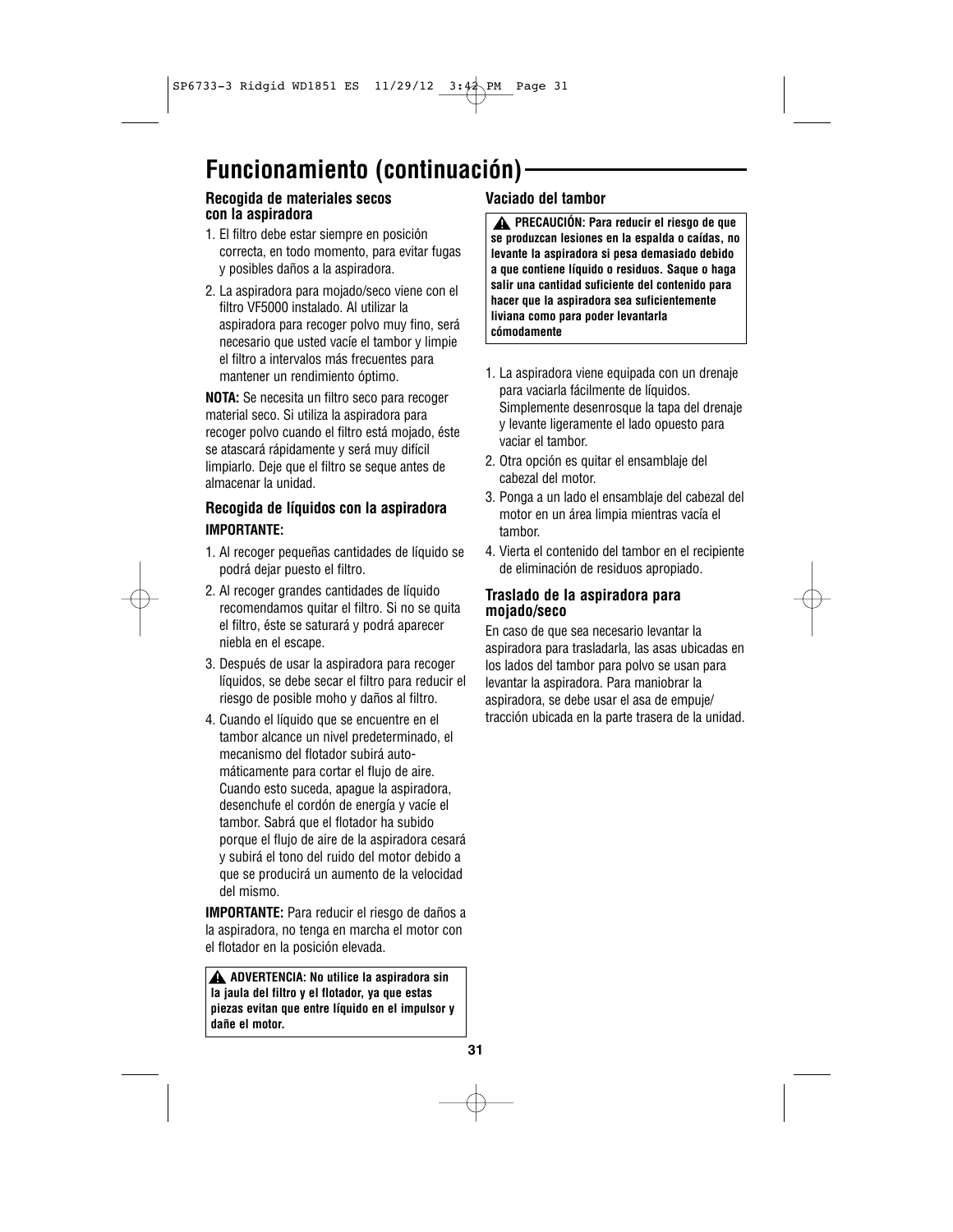# **Funcionamiento (continuación)**

### **Recogida de materiales secos con la aspiradora**

- 1. El filtro debe estar siempre en posición correcta, en todo momento, para evitar fugas y posibles daños a la aspiradora.
- 2. La aspiradora para mojado/seco viene con el filtro VF5000 instalado. Al utilizar la aspiradora para recoger polvo muy fino, será necesario que usted vacíe el tambor y limpie el filtro a intervalos más frecuentes para mantener un rendimiento óptimo.

**NOTA:** Se necesita un filtro seco para recoger material seco. Si utiliza la aspiradora para recoger polvo cuando el filtro está mojado, éste se atascará rápidamente y será muy difícil limpiarlo. Deje que el filtro se seque antes de almacenar la unidad.

### **Recogida de líquidos con la aspiradora IMPORTANTE:**

- 1. Al recoger pequeñas cantidades de líquido se podrá dejar puesto el filtro.
- 2. Al recoger grandes cantidades de líquido recomendamos quitar el filtro. Si no se quita el filtro, éste se saturará y podrá aparecer niebla en el escape.
- 3. Después de usar la aspiradora para recoger líquidos, se debe secar el filtro para reducir el riesgo de posible moho y daños al filtro.
- 4. Cuando el líquido que se encuentre en el tambor alcance un nivel predeterminado, el mecanismo del flotador subirá automáticamente para cortar el flujo de aire. Cuando esto suceda, apague la aspiradora, desenchufe el cordón de energía y vacíe el tambor. Sabrá que el flotador ha subido porque el flujo de aire de la aspiradora cesará y subirá el tono del ruido del motor debido a que se producirá un aumento de la velocidad del mismo.

**IMPORTANTE:** Para reducir el riesgo de daños a la aspiradora, no tenga en marcha el motor con el flotador en la posición elevada.

**ADVERTENCIA: No utilice la aspiradora sin ! la jaula del filtro y el flotador, ya que estas piezas evitan que entre líquido en el impulsor y dañe el motor.**

### **Vaciado del tambor**

**PRECAUCIÓN: Para reducir el riesgo de que ! se produzcan lesiones en la espalda o caídas, no levante la aspiradora si pesa demasiado debido a que contiene líquido o residuos. Saque o haga salir una cantidad suficiente del contenido para hacer que la aspiradora sea suficientemente liviana como para poder levantarla cómodamente** 

- 1. La aspiradora viene equipada con un drenaje para vaciarla fácilmente de líquidos. Simplemente desenrosque la tapa del drenaje y levante ligeramente el lado opuesto para vaciar el tambor.
- 2. Otra opción es quitar el ensamblaje del cabezal del motor.
- 3. Ponga a un lado el ensamblaje del cabezal del motor en un área limpia mientras vacía el tambor.
- 4. Vierta el contenido del tambor en el recipiente de eliminación de residuos apropiado.

### **Traslado de la aspiradora para mojado/seco**

En caso de que sea necesario levantar la aspiradora para trasladarla, las asas ubicadas en los lados del tambor para polvo se usan para levantar la aspiradora. Para maniobrar la aspiradora, se debe usar el asa de empuje/ tracción ubicada en la parte trasera de la unidad.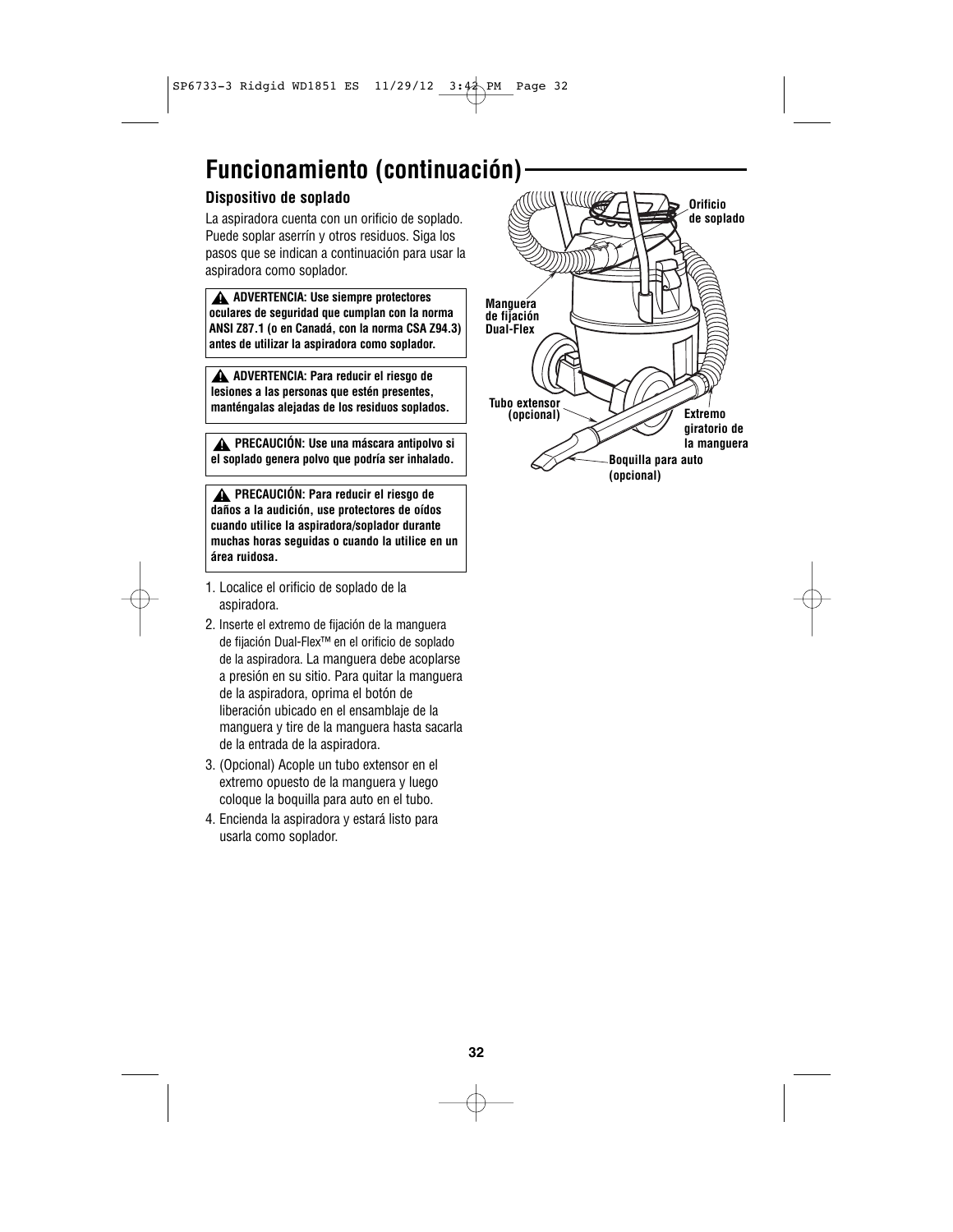# **Funcionamiento (continuación)**

### **Dispositivo de soplado**

La aspiradora cuenta con un orificio de soplado. Puede soplar aserrín y otros residuos. Siga los pasos que se indican a continuación para usar la aspiradora como soplador.

**ADVERTENCIA: Use siempre protectores ! oculares de seguridad que cumplan con la norma ANSI Z87.1 (o en Canadá, con la norma CSA Z94.3) antes de utilizar la aspiradora como soplador.**

**ADVERTENCIA: Para reducir el riesgo de ! lesiones a las personas que estén presentes, manténgalas alejadas de los residuos soplados.**

**PRECAUCIÓN: Use una máscara antipolvo si ! el soplado genera polvo que podría ser inhalado.**

**PRECAUCIÓN: Para reducir el riesgo de ! daños a la audición, use protectores de oídos cuando utilice la aspiradora/soplador durante muchas horas seguidas o cuando la utilice en un área ruidosa.**

- 1. Localice el orificio de soplado de la aspiradora.
- 2. Inserte el extremo de fijación de la manguera de fijación Dual-Flex™ en el orificio de soplado de la aspiradora. La manguera debe acoplarse a presión en su sitio. Para quitar la manguera de la aspiradora, oprima el botón de liberación ubicado en el ensamblaje de la manguera y tire de la manguera hasta sacarla de la entrada de la aspiradora.
- 3. (Opcional) Acople un tubo extensor en el extremo opuesto de la manguera y luego coloque la boquilla para auto en el tubo.
- 4. Encienda la aspiradora y estará listo para usarla como soplador.

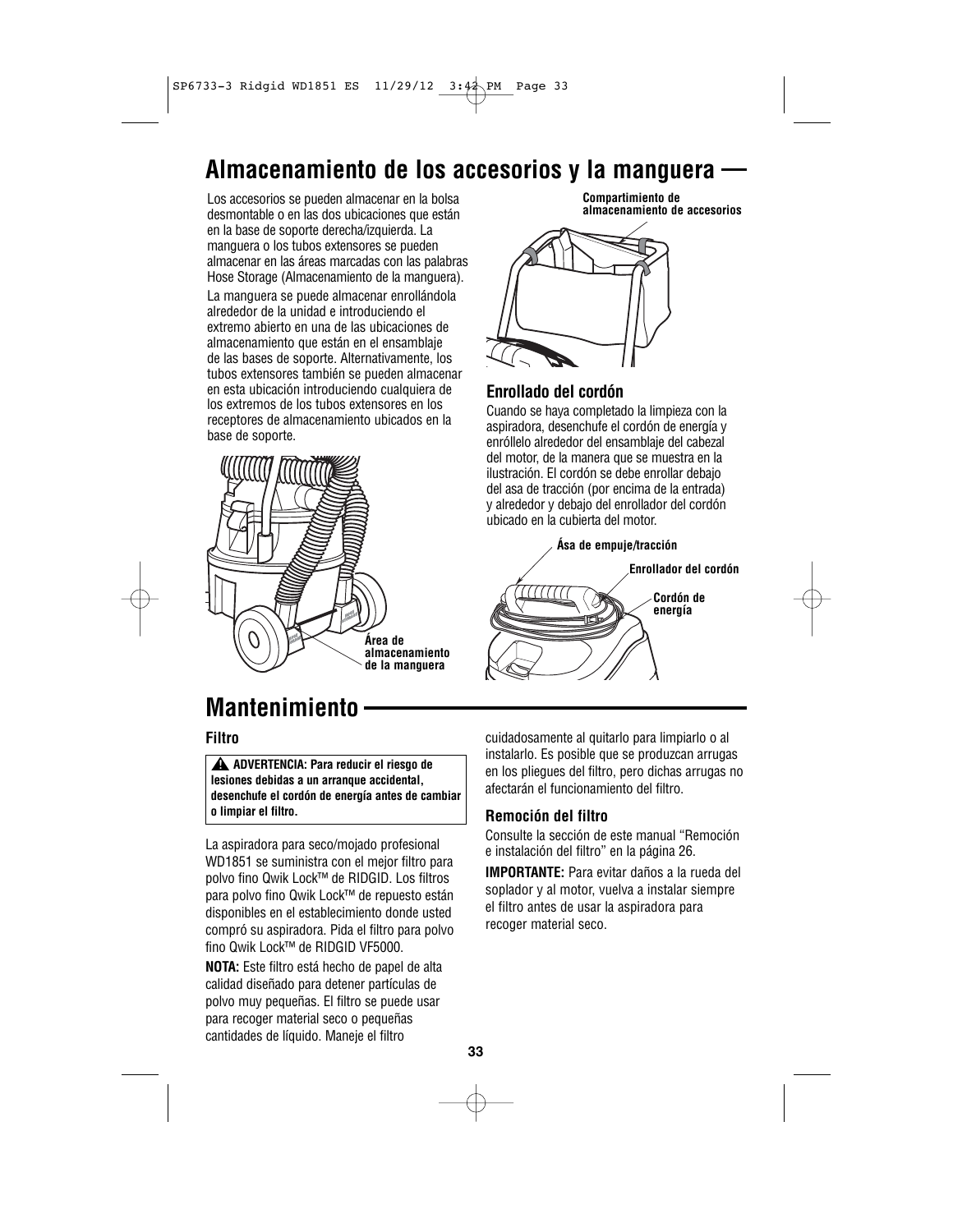### **Almacenamiento de los accesorios y la manguera**

Los accesorios se pueden almacenar en la bolsa desmontable o en las dos ubicaciones que están en la base de soporte derecha/izquierda. La manguera o los tubos extensores se pueden almacenar en las áreas marcadas con las palabras Hose Storage (Almacenamiento de la manguera). La manguera se puede almacenar enrollándola alrededor de la unidad e introduciendo el extremo abierto en una de las ubicaciones de almacenamiento que están en el ensamblaje de las bases de soporte. Alternativamente, los tubos extensores también se pueden almacenar en esta ubicación introduciendo cualquiera de los extremos de los tubos extensores en los receptores de almacenamiento ubicados en la base de soporte.



**Accessory Storage Compartimiento de Compartment almacenamiento de accesorios**



### **Enrollado del cordón**

Cuando se haya completado la limpieza con la aspiradora, desenchufe el cordón de energía y enróllelo alrededor del ensamblaje del cabezal del motor, de la manera que se muestra en la ilustración. El cordón se debe enrollar debajo del asa de tracción (por encima de la entrada) y alrededor y debajo del enrollador del cordón ubicado en la cubierta del motor.



# **Mantenimiento**

### **Filtro**

**ADVERTENCIA: Para reducir el riesgo de ! lesiones debidas a un arranque accidental, desenchufe el cordón de energía antes de cambiar o limpiar el filtro.**

La aspiradora para seco/mojado profesional WD1851 se suministra con el mejor filtro para polvo fino Qwik Lock™ de RIDGID. Los filtros para polvo fino Qwik Lock™ de repuesto están disponibles en el establecimiento donde usted compró su aspiradora. Pida el filtro para polvo fino Qwik Lock™ de RIDGID VF5000.

**NOTA:** Este filtro está hecho de papel de alta calidad diseñado para detener partículas de polvo muy pequeñas. El filtro se puede usar para recoger material seco o pequeñas cantidades de líquido. Maneje el filtro

cuidadosamente al quitarlo para limpiarlo o al instalarlo. Es posible que se produzcan arrugas en los pliegues del filtro, pero dichas arrugas no afectarán el funcionamiento del filtro.

### **Remoción del filtro**

Consulte la sección de este manual "Remoción e instalación del filtro" en la página 26.

**IMPORTANTE:** Para evitar daños a la rueda del soplador y al motor, vuelva a instalar siempre el filtro antes de usar la aspiradora para recoger material seco.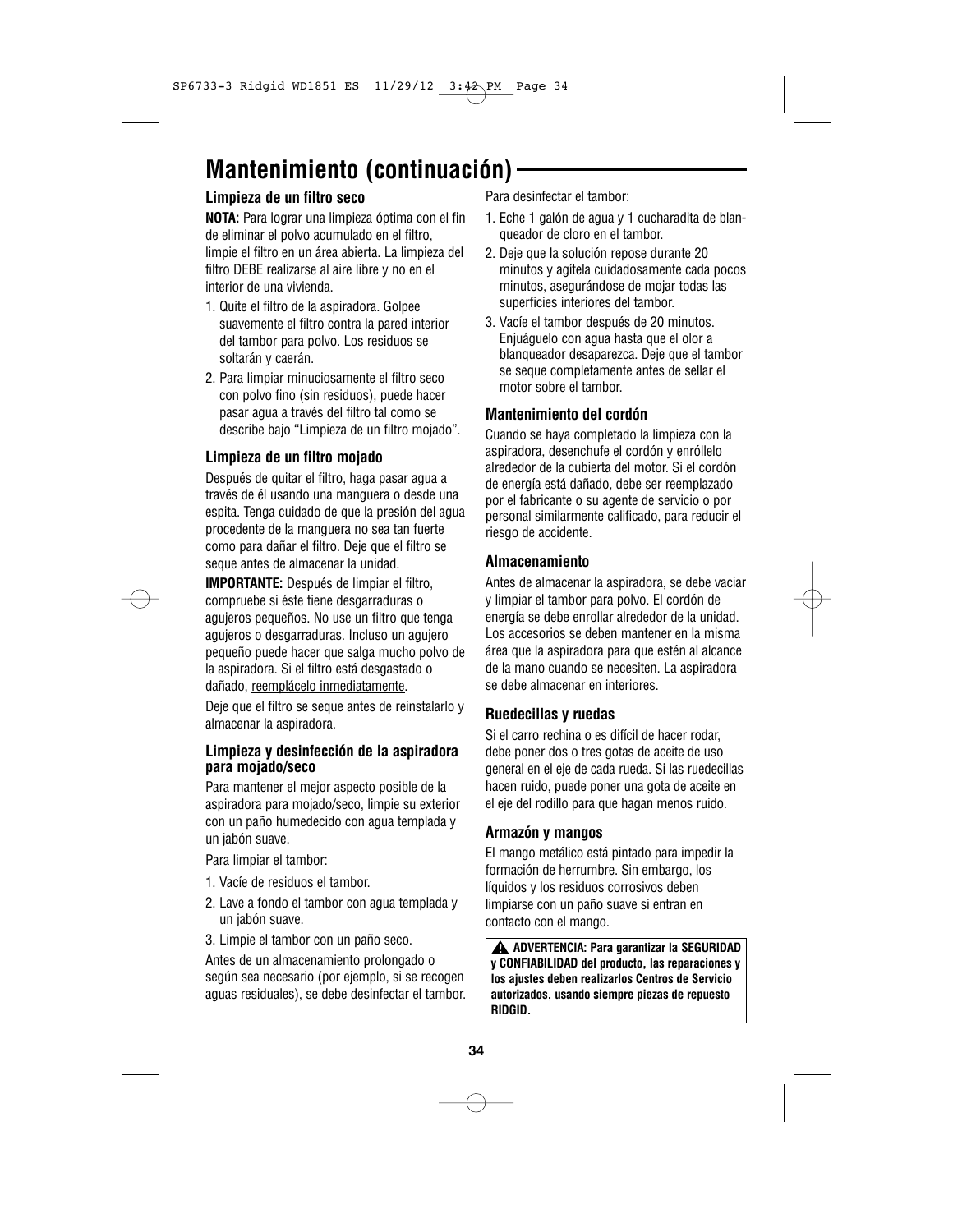# **Mantenimiento (continuación)**

### **Limpieza de un filtro seco**

**NOTA:** Para lograr una limpieza óptima con el fin de eliminar el polvo acumulado en el filtro, limpie el filtro en un área abierta. La limpieza del filtro DEBE realizarse al aire libre y no en el interior de una vivienda.

- 1. Quite el filtro de la aspiradora. Golpee suavemente el filtro contra la pared interior del tambor para polvo. Los residuos se soltarán y caerán.
- 2. Para limpiar minuciosamente el filtro seco con polvo fino (sin residuos), puede hacer pasar agua a través del filtro tal como se describe bajo "Limpieza de un filtro mojado".

#### **Limpieza de un filtro mojado**

Después de quitar el filtro, haga pasar agua a través de él usando una manguera o desde una espita. Tenga cuidado de que la presión del agua procedente de la manguera no sea tan fuerte como para dañar el filtro. Deje que el filtro se seque antes de almacenar la unidad.

**IMPORTANTE:** Después de limpiar el filtro, compruebe si éste tiene desgarraduras o agujeros pequeños. No use un filtro que tenga agujeros o desgarraduras. Incluso un agujero pequeño puede hacer que salga mucho polvo de la aspiradora. Si el filtro está desgastado o dañado, reemplácelo inmediatamente.

Deje que el filtro se seque antes de reinstalarlo y almacenar la aspiradora.

### **Limpieza y desinfección de la aspiradora para mojado/seco**

Para mantener el mejor aspecto posible de la aspiradora para mojado/seco, limpie su exterior con un paño humedecido con agua templada y un jabón suave.

Para limpiar el tambor:

- 1. Vacíe de residuos el tambor.
- 2. Lave a fondo el tambor con agua templada y un jabón suave.
- 3. Limpie el tambor con un paño seco.

Antes de un almacenamiento prolongado o según sea necesario (por ejemplo, si se recogen aguas residuales), se debe desinfectar el tambor. Para desinfectar el tambor:

- 1. Eche 1 galón de agua y 1 cucharadita de blanqueador de cloro en el tambor.
- 2. Deje que la solución repose durante 20 minutos y agítela cuidadosamente cada pocos minutos, asegurándose de mojar todas las superficies interiores del tambor.
- 3. Vacíe el tambor después de 20 minutos. Enjuáguelo con agua hasta que el olor a blanqueador desaparezca. Deje que el tambor se seque completamente antes de sellar el motor sobre el tambor.

### **Mantenimiento del cordón**

Cuando se haya completado la limpieza con la aspiradora, desenchufe el cordón y enróllelo alrededor de la cubierta del motor. Si el cordón de energía está dañado, debe ser reemplazado por el fabricante o su agente de servicio o por personal similarmente calificado, para reducir el riesgo de accidente.

### **Almacenamiento**

Antes de almacenar la aspiradora, se debe vaciar y limpiar el tambor para polvo. El cordón de energía se debe enrollar alrededor de la unidad. Los accesorios se deben mantener en la misma área que la aspiradora para que estén al alcance de la mano cuando se necesiten. La aspiradora se debe almacenar en interiores.

#### **Ruedecillas y ruedas**

Si el carro rechina o es difícil de hacer rodar, debe poner dos o tres gotas de aceite de uso general en el eje de cada rueda. Si las ruedecillas hacen ruido, puede poner una gota de aceite en el eje del rodillo para que hagan menos ruido.

#### **Armazón y mangos**

El mango metálico está pintado para impedir la formación de herrumbre. Sin embargo, los líquidos y los residuos corrosivos deben limpiarse con un paño suave si entran en contacto con el mango.

**ADVERTENCIA: Para garantizar la SEGURIDAD ! y CONFIABILIDAD del producto, las reparaciones y los ajustes deben realizarlos Centros de Servicio autorizados, usando siempre piezas de repuesto RIDGID.**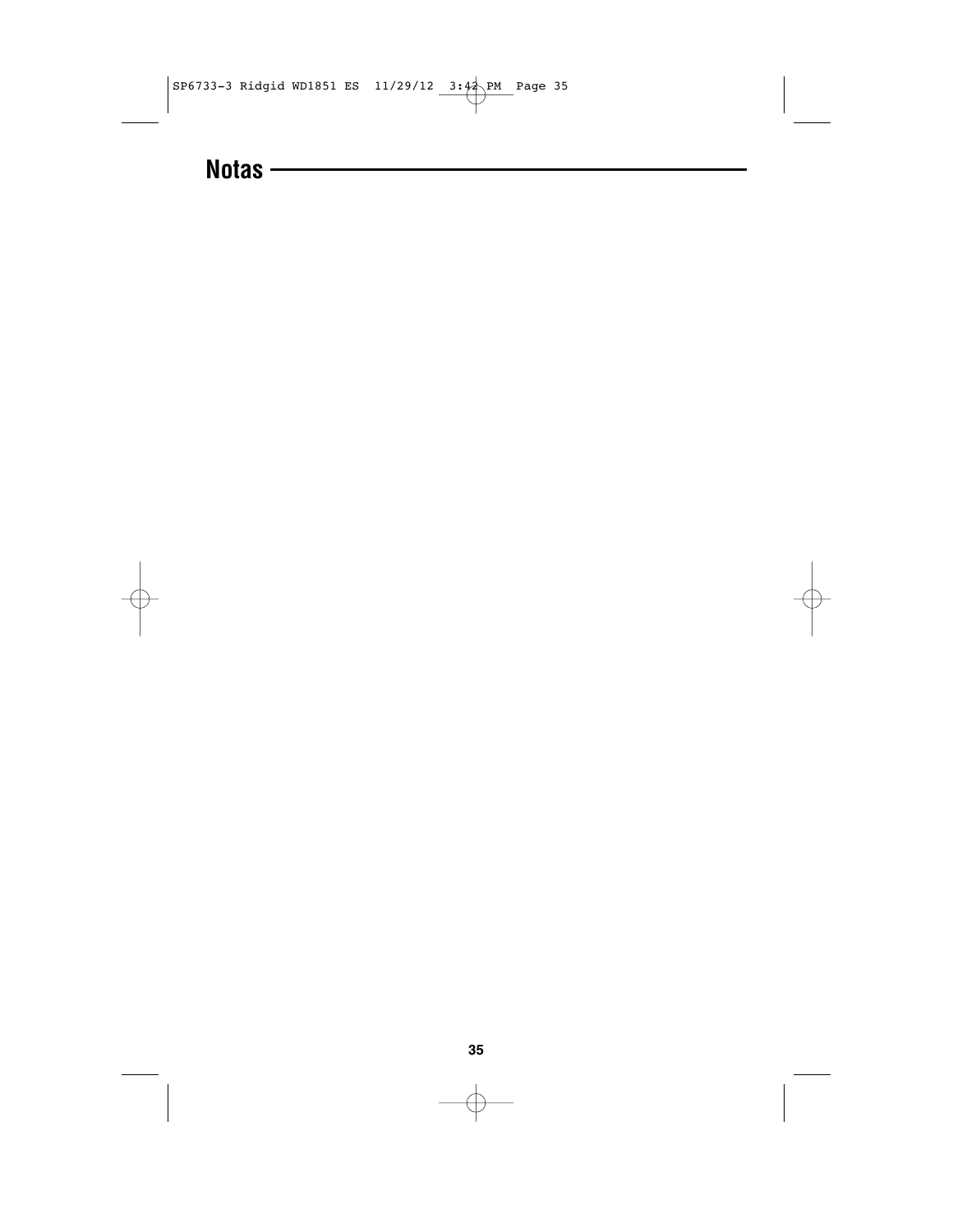

# **Notas**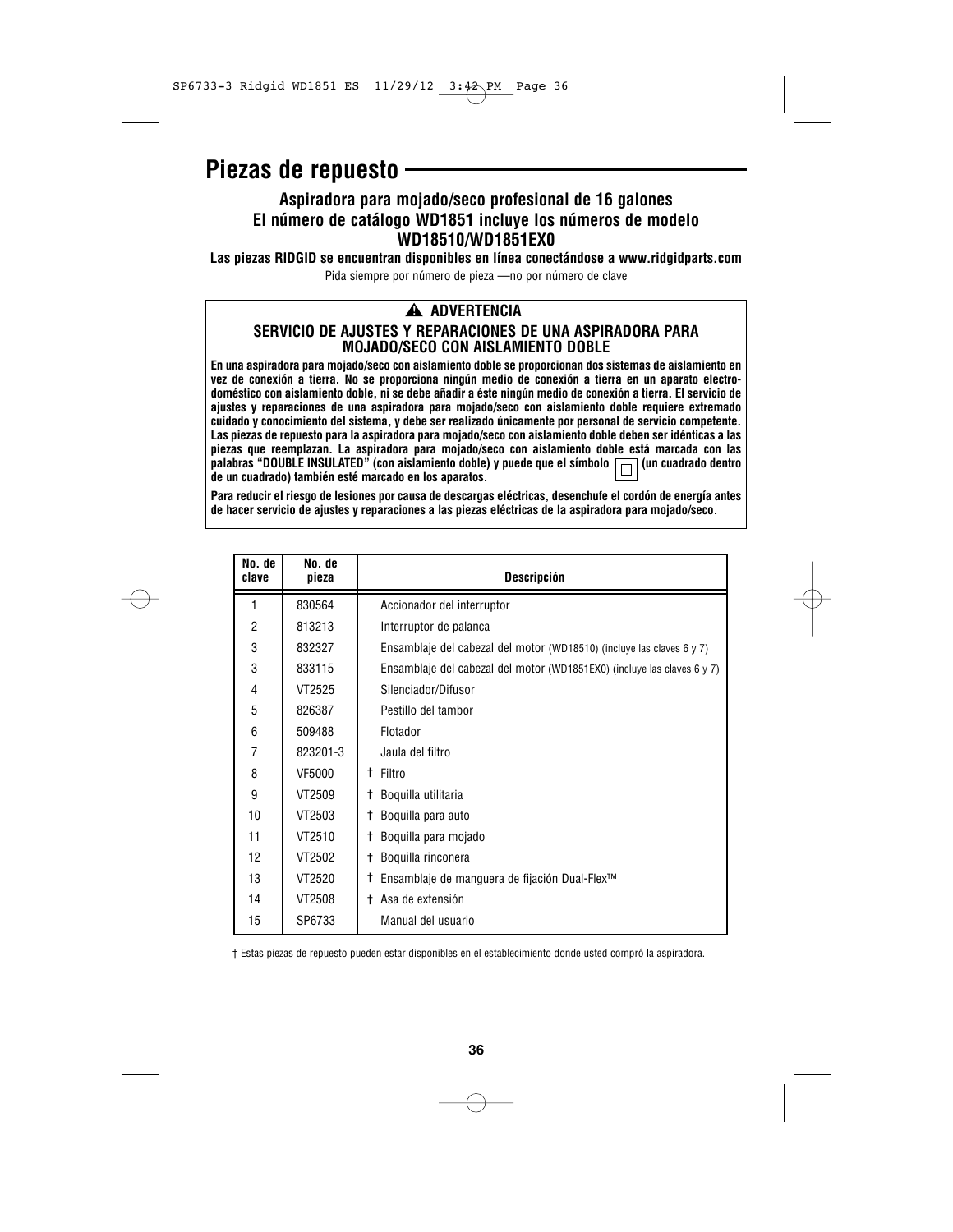### **Piezas de repuesto**

### **Aspiradora para mojado/seco profesional de 16 galones El número de catálogo WD1851 incluye los números de modelo WD18510/WD1851EX0**

**Las piezas RIDGID se encuentran disponibles en línea conectándose a www.ridgidparts.com** Pida siempre por número de pieza —no por número de clave

### **ADVERTENCIA ! SERVICIO DE AJUSTES Y REPARACIONES DE UNA ASPIRADORA PARA MOJADO/SECO CON AISLAMIENTO DOBLE**

**En una aspiradora para mojado/seco con aislamiento doble se proporcionan dos sistemas de aislamiento en vez de conexión a tierra. No se proporciona ningún medio de conexión a tierra en un aparato electrodoméstico con aislamiento doble, ni se debe añadir a éste ningún medio de conexión a tierra. El servicio de ajustes y reparaciones de una aspiradora para mojado/seco con aislamiento doble requiere extremado cuidado y conocimiento del sistema, y debe ser realizado únicamente por personal de servicio competente. Las piezas de repuesto para la aspiradora para mojado/seco con aislamiento doble deben ser idénticas a las** piezas que reemplazan. La aspiradora para mojado/seco con aislamiento doble está marcada con las<br>palabras "DOUBLE INSULATED" (con aislamiento doble) y puede que el símbolo **[**] (un cuadrado dentro palabras "DOUBLE INSULATED" (con aislamiento doble) y puede que el símbolo **del de un cuadrado) también esté marcado en los aparatos.**

**Para reducir el riesgo de lesiones por causa de descargas eléctricas, desenchufe el cordón de energía antes de hacer servicio de ajustes y reparaciones a las piezas eléctricas de la aspiradora para mojado/seco.**

| No. de<br>clave | No. de<br>pieza | Descripción                                                             |
|-----------------|-----------------|-------------------------------------------------------------------------|
| 1               | 830564          | Accionador del interruptor                                              |
| 2               | 813213          | Interruptor de palanca                                                  |
| 3               | 832327          | Ensamblaje del cabezal del motor (WD18510) (incluye las claves 6 y 7)   |
| 3               | 833115          | Ensamblaje del cabezal del motor (WD1851EX0) (incluye las claves 6 y 7) |
| 4               | VT2525          | Silenciador/Difusor                                                     |
| 5               | 826387          | Pestillo del tambor                                                     |
| 6               | 509488          | Flotador                                                                |
| 7               | 823201-3        | Jaula del filtro                                                        |
| 8               | VF5000          | Filtro<br>Ť.                                                            |
| 9               | VT2509          | Boquilla utilitaria<br>t                                                |
| 10              | VT2503          | Boquilla para auto<br>t                                                 |
| 11              | VT2510          | Boquilla para mojado<br>t                                               |
| 12              | VT2502          | Boquilla rinconera<br>t                                                 |
| 13              | VT2520          | Ensamblaje de manguera de fijación Dual-Flex <sup>™</sup><br>t          |
| 14              | VT2508          | Asa de extensión<br>$\pm$                                               |
| 15              | SP6733          | Manual del usuario                                                      |

† Estas piezas de repuesto pueden estar disponibles en el establecimiento donde usted compró la aspiradora.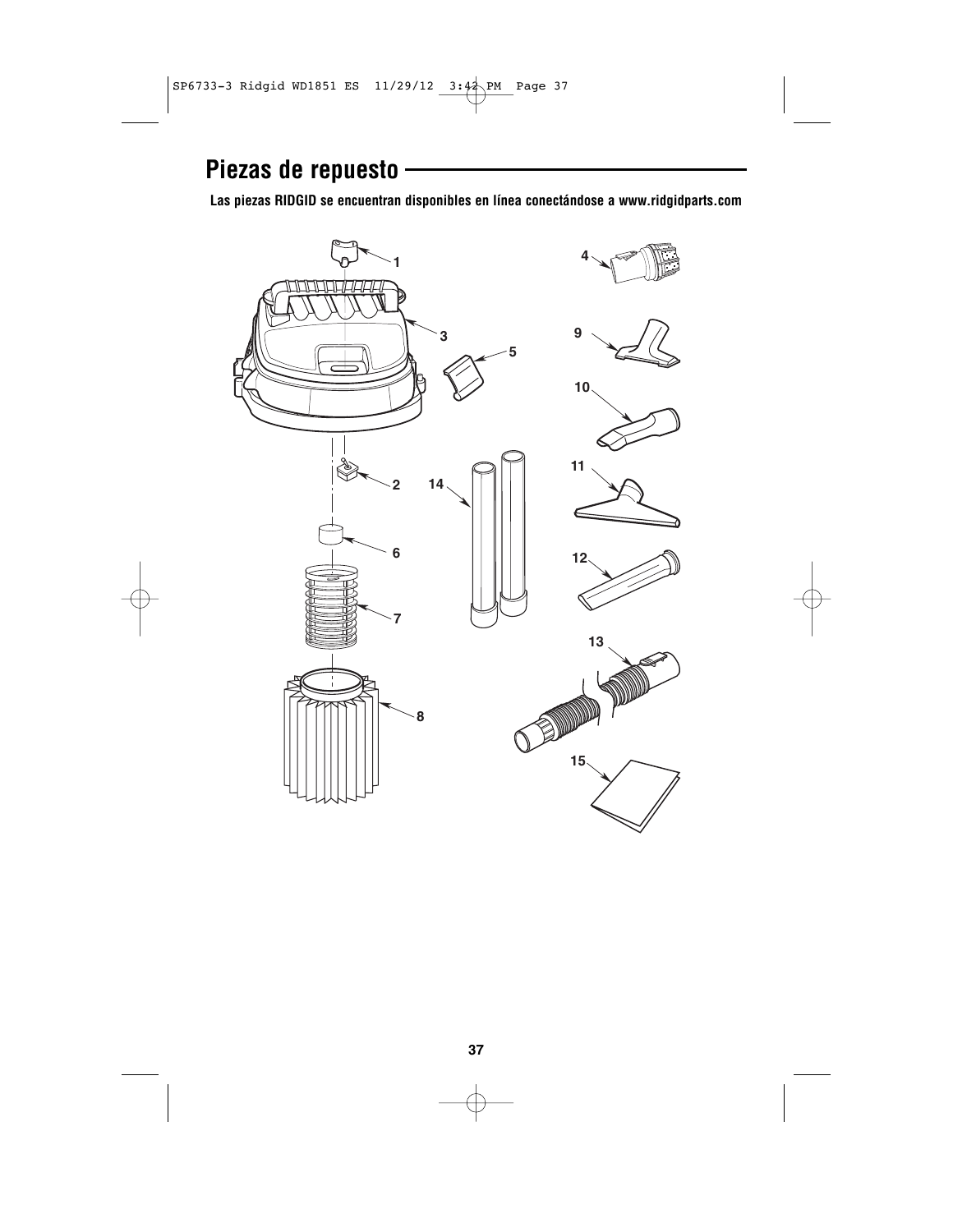# **Piezas de repuesto**

**Las piezas RIDGID se encuentran disponibles en línea conectándose a www.ridgidparts.com**

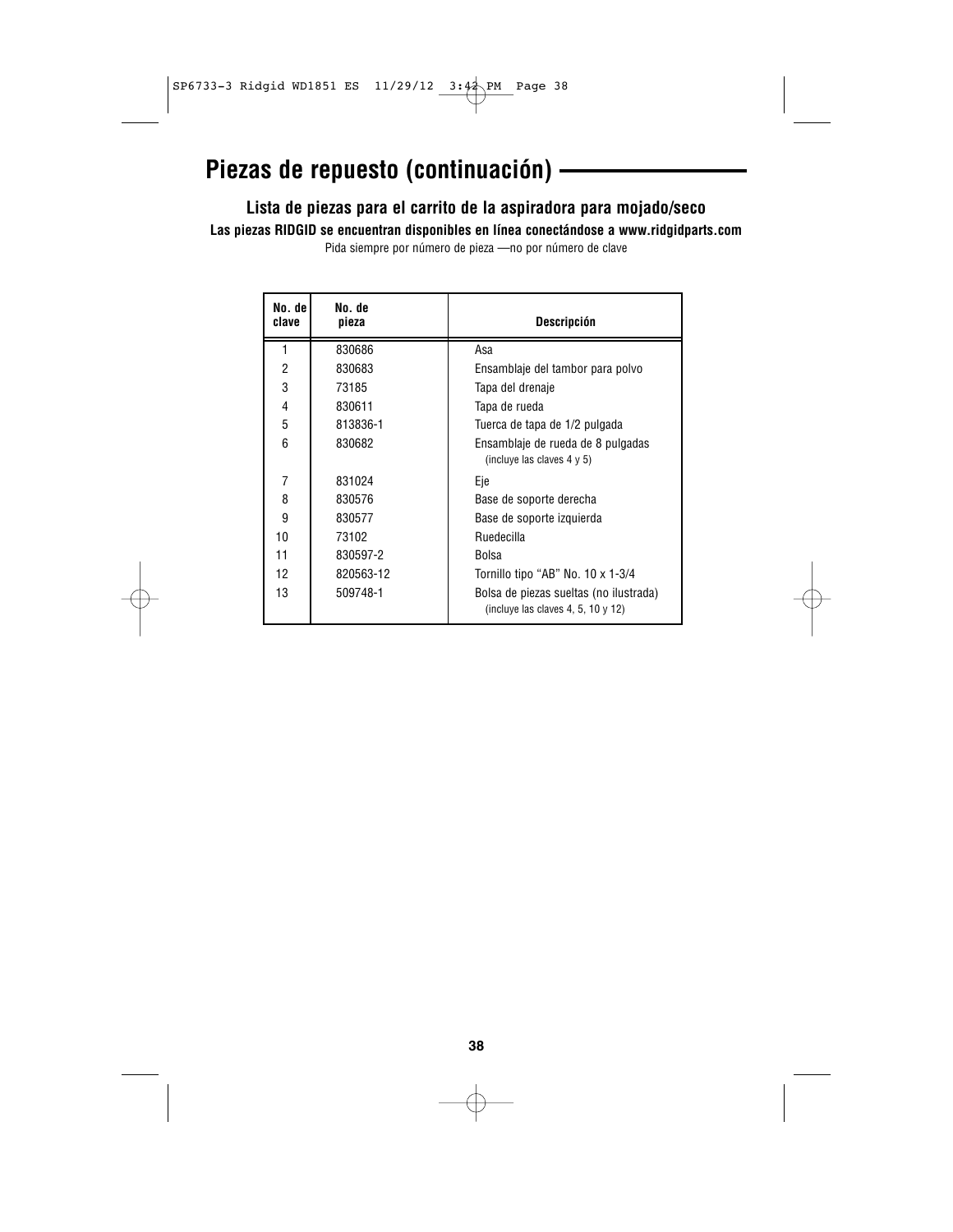# **Piezas de repuesto (continuación)**

### **Lista de piezas para el carrito de la aspiradora para mojado/seco**

**Las piezas RIDGID se encuentran disponibles en línea conectándose a www.ridgidparts.com**

Pida siempre por número de pieza —no por número de clave

| No. de<br>clave | No. de<br>pieza | <b>Descripción</b>                                                                |
|-----------------|-----------------|-----------------------------------------------------------------------------------|
| 1               | 830686          | Asa                                                                               |
| 2               | 830683          | Ensamblaje del tambor para polvo                                                  |
| 3               | 73185           | Tapa del drenaje                                                                  |
| 4               | 830611          | Tapa de rueda                                                                     |
| 5               | 813836-1        | Tuerca de tapa de 1/2 pulgada                                                     |
| 6               | 830682          | Ensamblaje de rueda de 8 pulgadas<br>(incluye las claves $4 \vee 5$ )             |
| 7               | 831024          | Eje                                                                               |
| 8               | 830576          | Base de soporte derecha                                                           |
| 9               | 830577          | Base de soporte izquierda                                                         |
| 10              | 73102           | Ruedecilla                                                                        |
| 11              | 830597-2        | Bolsa                                                                             |
| 12              | 820563-12       | Tornillo tipo "AB" No. 10 x 1-3/4                                                 |
| 13              | 509748-1        | Bolsa de piezas sueltas (no ilustrada)<br>(incluye las claves 4, 5, 10 $\vee$ 12) |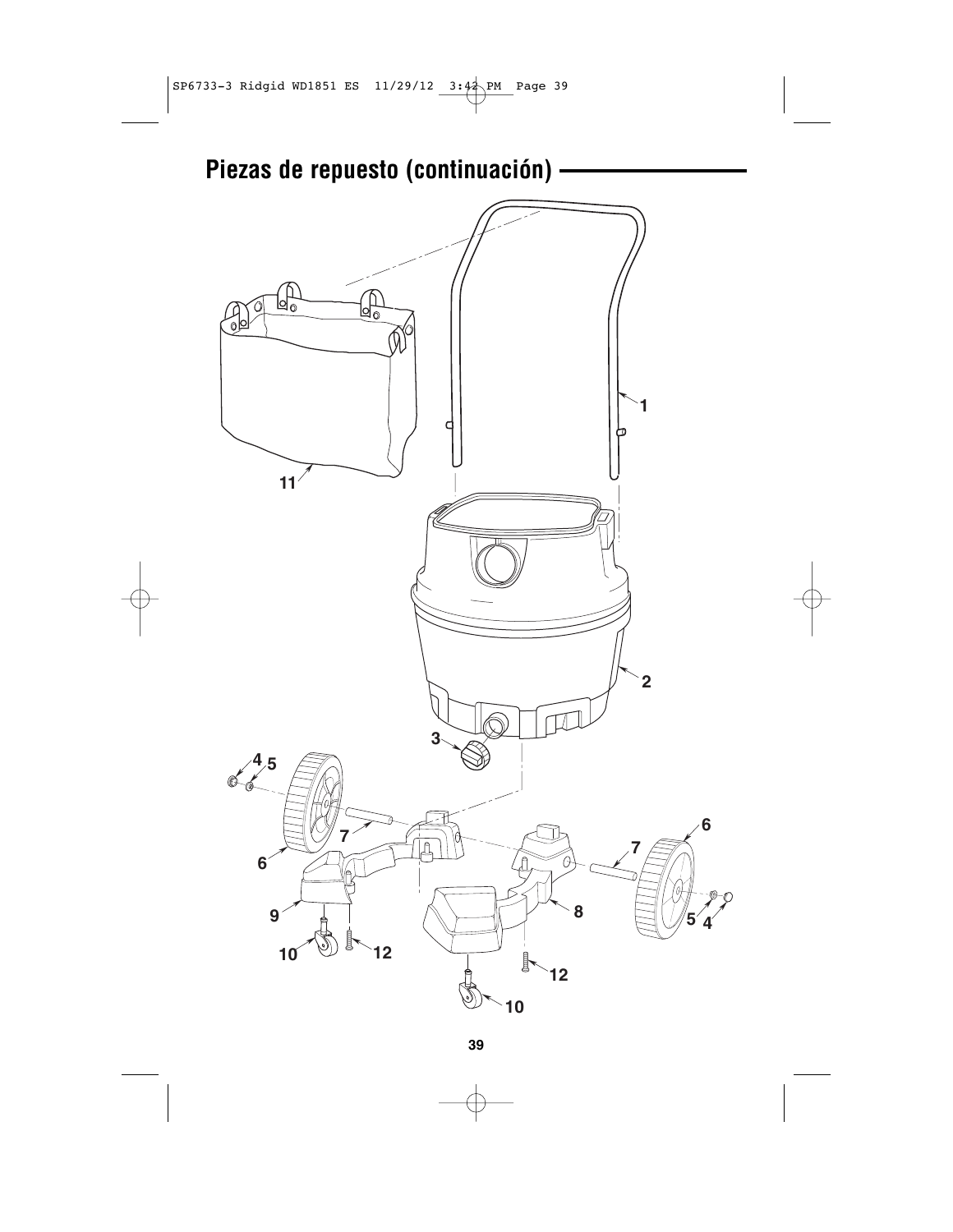